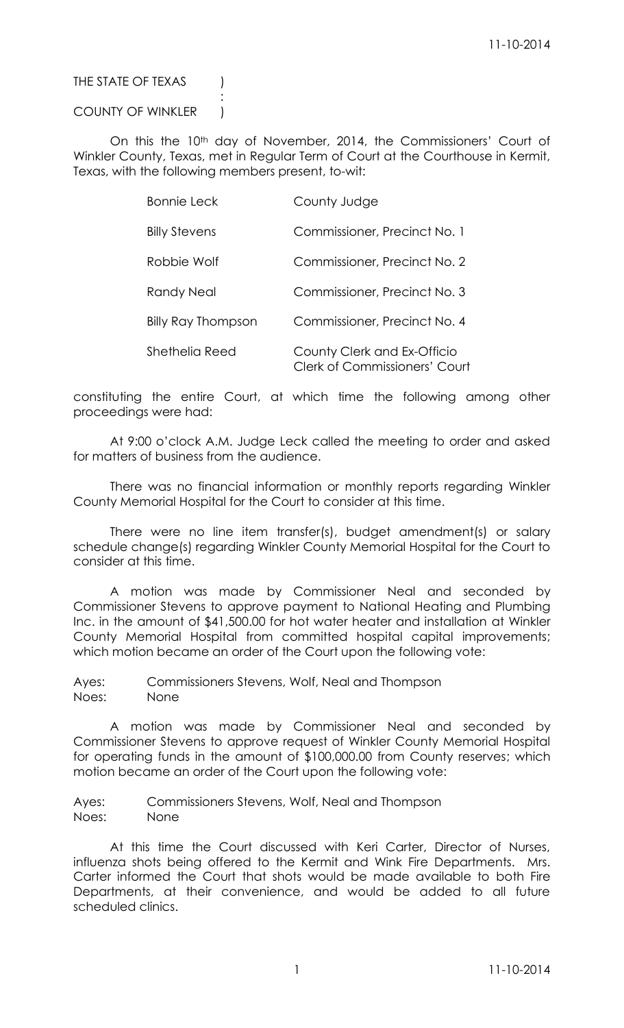### THE STATE OF TEXAS (

### COUNTY OF WINKLER )

:

On this the 10<sup>th</sup> day of November, 2014, the Commissioners' Court of Winkler County, Texas, met in Regular Term of Court at the Courthouse in Kermit, Texas, with the following members present, to-wit:

| <b>Bonnie Leck</b>        | County Judge                                                        |
|---------------------------|---------------------------------------------------------------------|
| <b>Billy Stevens</b>      | Commissioner, Precinct No. 1                                        |
| Robbie Wolf               | Commissioner, Precinct No. 2                                        |
| Randy Neal                | Commissioner, Precinct No. 3                                        |
| <b>Billy Ray Thompson</b> | Commissioner, Precinct No. 4                                        |
| Shethelia Reed            | County Clerk and Ex-Officio<br><b>Clerk of Commissioners' Court</b> |

constituting the entire Court, at which time the following among other proceedings were had:

At 9:00 o'clock A.M. Judge Leck called the meeting to order and asked for matters of business from the audience.

There was no financial information or monthly reports regarding Winkler County Memorial Hospital for the Court to consider at this time.

There were no line item transfer(s), budget amendment(s) or salary schedule change(s) regarding Winkler County Memorial Hospital for the Court to consider at this time.

A motion was made by Commissioner Neal and seconded by Commissioner Stevens to approve payment to National Heating and Plumbing Inc. in the amount of \$41,500.00 for hot water heater and installation at Winkler County Memorial Hospital from committed hospital capital improvements; which motion became an order of the Court upon the following vote:

Ayes: Commissioners Stevens, Wolf, Neal and Thompson Noes: None

A motion was made by Commissioner Neal and seconded by Commissioner Stevens to approve request of Winkler County Memorial Hospital for operating funds in the amount of \$100,000.00 from County reserves; which motion became an order of the Court upon the following vote:

Ayes: Commissioners Stevens, Wolf, Neal and Thompson Noes: None

At this time the Court discussed with Keri Carter, Director of Nurses, influenza shots being offered to the Kermit and Wink Fire Departments. Mrs. Carter informed the Court that shots would be made available to both Fire Departments, at their convenience, and would be added to all future scheduled clinics.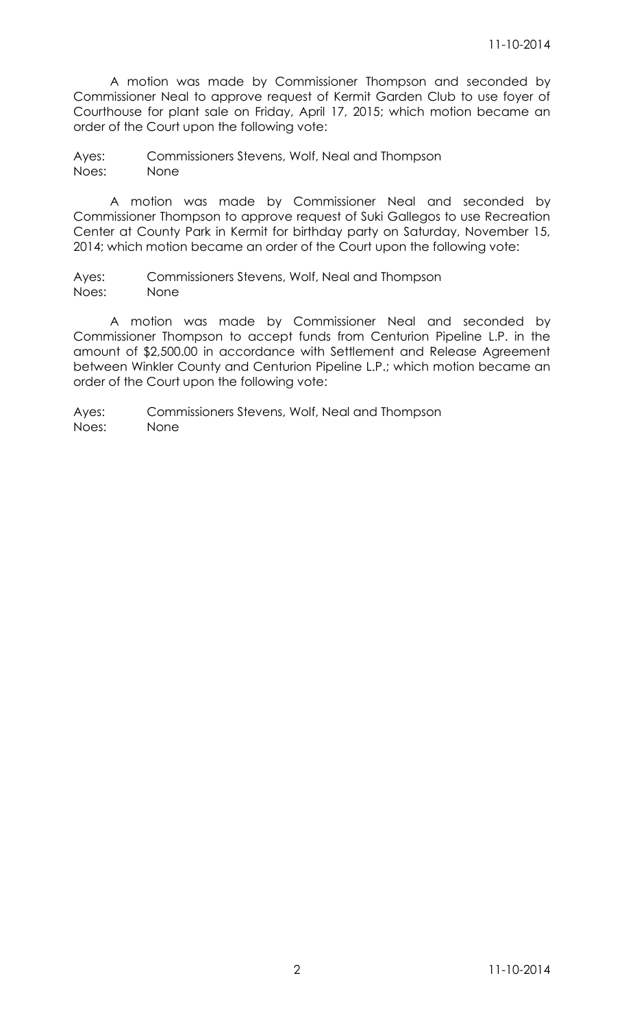A motion was made by Commissioner Thompson and seconded by Commissioner Neal to approve request of Kermit Garden Club to use foyer of Courthouse for plant sale on Friday, April 17, 2015; which motion became an order of the Court upon the following vote:

Ayes: Commissioners Stevens, Wolf, Neal and Thompson Noes: None

A motion was made by Commissioner Neal and seconded by Commissioner Thompson to approve request of Suki Gallegos to use Recreation Center at County Park in Kermit for birthday party on Saturday, November 15, 2014; which motion became an order of the Court upon the following vote:

Ayes: Commissioners Stevens, Wolf, Neal and Thompson Noes: None

A motion was made by Commissioner Neal and seconded by Commissioner Thompson to accept funds from Centurion Pipeline L.P. in the amount of \$2,500.00 in accordance with Settlement and Release Agreement between Winkler County and Centurion Pipeline L.P.; which motion became an order of the Court upon the following vote: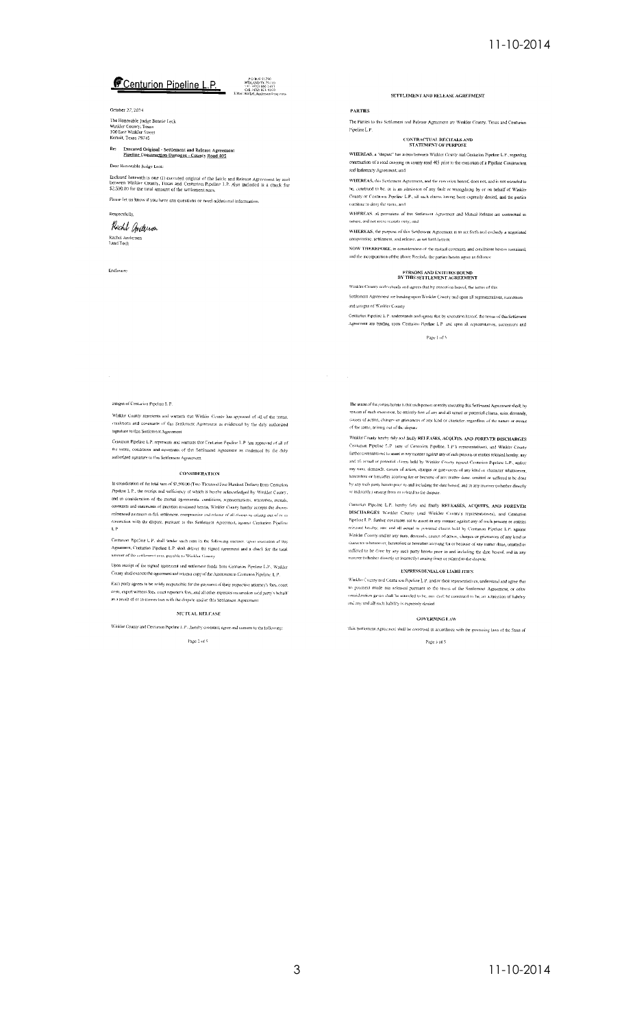### **Centurion Pipeline L.P.** 2008 12:00

October 27, 2014

The Honorable Judge Bonnie Leck<br>Winkler County, Texas<br>100 East Winkler Street<br>Kermit, Texas 79745

Re: Executed Original - Settlement and Release Agreem<br>Pineline Construction Damages - County Road 405

Dear Honorable Judge Leck:

Enclosed berewith is one (1) executed original of the Settle and Release Agreement by and<br>between Winkler County, Tizzas and Centurion Pipelino L.P. Also included is a check for<br>\$2.500.00 for the total amount of the settle

Please let us know if you have any questions or need additional information. Respectfully,

Rochel Anderson Rachel Anderson<br>Land Tech

Enclosure

SETTLEMENT AND RELEASE AGREEMENT

#### **PARTIES**

The Parties to this Settlement and Release Agreement are Winkler County, Texas and Centurion Pipeline L.P.

### CONTRACTUAL RECITALS AND STATEMENT OF PURPOSE

**WHEREAS**, a "dispute" has arisen between Winkler County and Centurion Pipeline L.P., regarding<br>construction of a road crossing on county road 405 prior to the execution of a Pipeline Construction and Indomnity Agreement; and

WHEREAS, this Settlement Agreement, and the execution betweef, does not, and is not entended to or interested to be, or is an admission of any fault or wrongdoing by or on behalf of Winder<br>be, construed to be, or is an admission of any fault or wrongdoing by or on behalf of Winder<br>County or Centurion Pipeline L.P., a continue to deny the same, and

WHEREAS, all provisions of this Settlement Agricement and Mutual Release are contractual in nature, and not mere recitals only; and

WHEREAS, the purpose of this Settlement Agreement is to set forth and embody a negotiated compromise, settlement, and release, as set forth herein:

NOW THEREFORE, in consideration of the mutual covenants and conditions betwin contained, and the mcorporation of the above Recitals, the parties hereto agree as follows

### PERSONS AND ENTITIES BOUND<br>BY THIS SETTLEMENT AGREEMENT

Winkler County understands and agrees that by executing hereof, the terms of this

.<br>Settlement Agreement are binding upon Winkler County and upon all representatives, successors and assigns of Winkler County

Centurion Pipeline L.P. understands and agrees that by execution hereof, the terms of this Settlement economic repeater on a moreculates and agrees once by execution referent and terms of this Senational

Page 1 of 5

assigns of Centarion Pineline L.P.

Winkler County represents and warrants that Winkies County has approved of all of the terms. conditions and covenants of this Settlement Agreement as evidenced by the duly amborized signature to this Settlement Agreement

Centumon Pipeline L.P. represents and warrants that Centurion Pipeline L.P. has approved of all of<br>the terms, conditions and covenants of this Settlement Agreement as evidenced by the duly authorized sqmature to this Sottlement Agreement.

#### **CONSIDERATION**

CONSIDERATION (CONSIDERATION CONSIDERATION)<br>
In consideration of the total sum of \$2,500.00 (Two Thousand Five Hundred Dollars) from Centurion<br>
Pipelare L.P., the receipt and sufficiency of which is bearby acknowledged by

Centurion Pipeline L P, shall tender such sum in the following mattier, upon exect examinator appearing L.F. state sender stock suite in the following manner. upon execution of this Agreement, Centurion Pipeline L.P. shall deliver the signed agreement and a check for the total amount of the settlement st

Upon receipt of the signed agreement and settlement funds from Centurion Pipeline L.P., Waikler County shall execute the agreement and return a copy of the Agreement to Contumon Pipeline. L.P.

Each party agrees to be solely responsible for the payment of their respective attorney's focs, court costs, expert witness fees, court reporter's fres, and all other experies incurredon said party's behalf<br>as a result of or in connection with the dispute and/or this Senlement Agreement

#### MUTUAL RELEASE

Whikler County and Centurion Pipeline L.P., hereby covenant, agree and consent to the following:

Page 2 of 5  $\,$ 

The intent of the porties benefic is that each person or entity exceeding this Settlement Agreement shall, by reason of such execution, be entirely free of any and all actual or potential claims, suits, demands, causes of

Winkler County hereby fully and finally RELEASES, ACQUTIS. AND FOREVER DISCHARGES Winkler County hereby fully and finally REI RASES, ACQUITS. AND POREVER DISCHARGES<br>Centurion Pipeline. 1.1° amy of Centurion Pipeline. 1.1° s representatives), and Winkler Coenty<br>further covenants not to asset in any natur or indirectly) arising from or related to the dispute

m Pipcine L.P., hereby fully and finally RELEASES, ACQUITS, AND FOREVER Commism Pipesine L.P., hereby (idly and finally NETEASES, ACQUITS, AND FOREVER<br>OSCCHARGES Workler County (and Winkler County's representatives), and Centurion<br>DISCCHARGES Workler County (and Winkler County's representative

#### **EXPRESS DENIAL OF LIABILITIES**

Winkler County and Centurion Pipeline L.P. and/or their representatives, understand and agree that no psyment made nor released pursuant to the terms of the Settlement Agreem consideration given shall be intended to be, nor shall be construed to be, an admission of liability and any and all such hability is expres

#### **GOVERNING LAW**

This Settlement Agreement shall be construed in accordance with the governing laws of the State of

Page 3 of 5  $\,$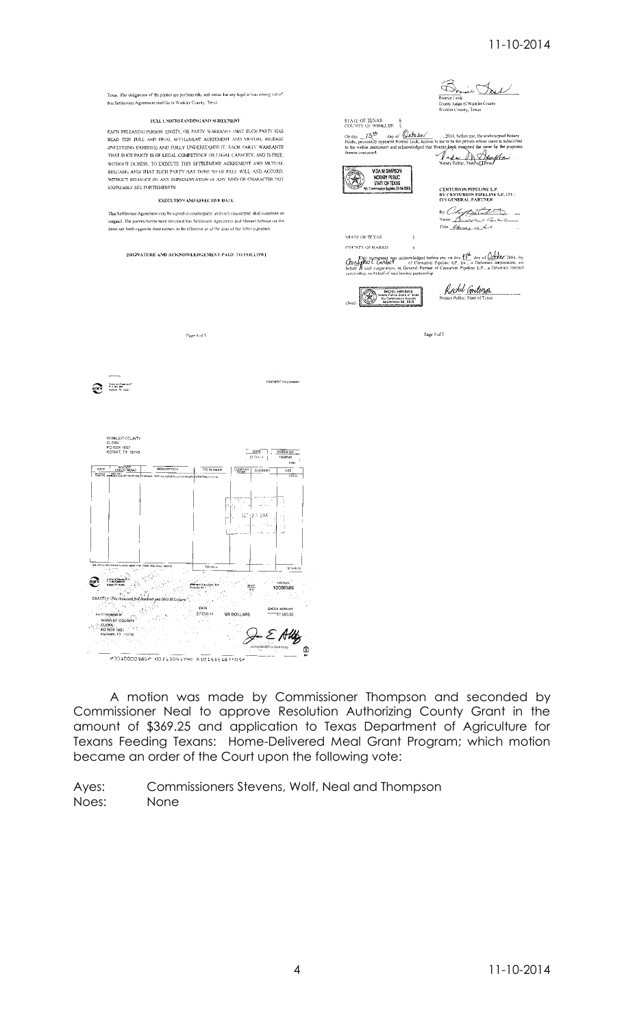Texas. The obligations of the parties are performable, and venue for any legal action arising out of rexus. The obligations to all paties are portformation, and year<br>this Settlement Agreement shall lie in Winkler County, Texas

#### FULL UNDERSTANDING AND AGREEMENT

READ THIS FULL AND FINAL SEITLEMENT AGREEMENT AND MUJUAL RELEASE READ THIS FOLE NAME INVIENDED AND RELEASED AND CONDITION CONDITIONS EXHIBITS) AND FOLLY UNDERSTANDS IT, FACH PARTY WARRANTS WITHOUT DURESS, TO EXECUTE THIS SETTLEMENT AGREEMENT AND MUTUAL RELEASE, AND THAT SUCH PARTY HAS DONE SO OF FREE WILL AND ACCORD.<br>RELEASE, AND THAT SUCH PARTY HAS DONE SO OF FREE WILL AND ACCORD.<br>WITHOUT RELIANCE ON ANY REPRESENTATION OF ANY KIND OR CHARACTER NOT **EXPRESSLY SET FORTH HEREIN.** 

#### EXECUTION AND EFFECTIVE DATE

.<br>This Settlement Agreement may be signed in counterparts, and each counterpart shall constitute an<br>-<br>original. The porties hereto have excented this Settlement Agreement and Motual Release on the dates set forth opposite their names, to be effective as of the date of the latter signature.

[SIGNATURE AND ACKNOWLEDGEMENT PAGE TO FOLLOW]

 $\begin{picture}(180,10) \put(0,0){\line(1,0){10}} \put(10,0){\line(1,0){10}} \put(10,0){\line(1,0){10}} \put(10,0){\line(1,0){10}} \put(10,0){\line(1,0){10}} \put(10,0){\line(1,0){10}} \put(10,0){\line(1,0){10}} \put(10,0){\line(1,0){10}} \put(10,0){\line(1,0){10}} \put(10,0){\line(1,0){10}} \put(10,0){\line(1,0){10}} \put(10,0){\line($ 

WINKLER COUNTY<br>G: ERX<br>PC BOX 1007<br>KERMIT, TX 79745

nicapera<br>INKLER COUNTY

CLERK<br>PO SOX 1007

说한

an<br>Life<sup>ra</sup>

10010000586" 10211095794 6301535187509

.<br>Persona Crase Basi, R.A.<br>Sencute MY

 $\begin{array}{|c|c|c|c|}\hline & \text{PATE} & \\ \hline & 27\text{-Oot-14} & \end{array}$ 



A motion was made by Commissioner Thompson and seconded by Commissioner Neal to approve Resolution Authorizing County Grant in the amount of \$369.25 and application to Texas Department of Agriculture for Texans Feeding Texans: Home-Delivered Meal Grant Program; which motion became an order of the Court upon the following vote:

GHECK AMOUNT

 $\mathcal{G}\in \mathcal{E}$  AUL

 $rac{1000}{212}$ 

US DOLLARS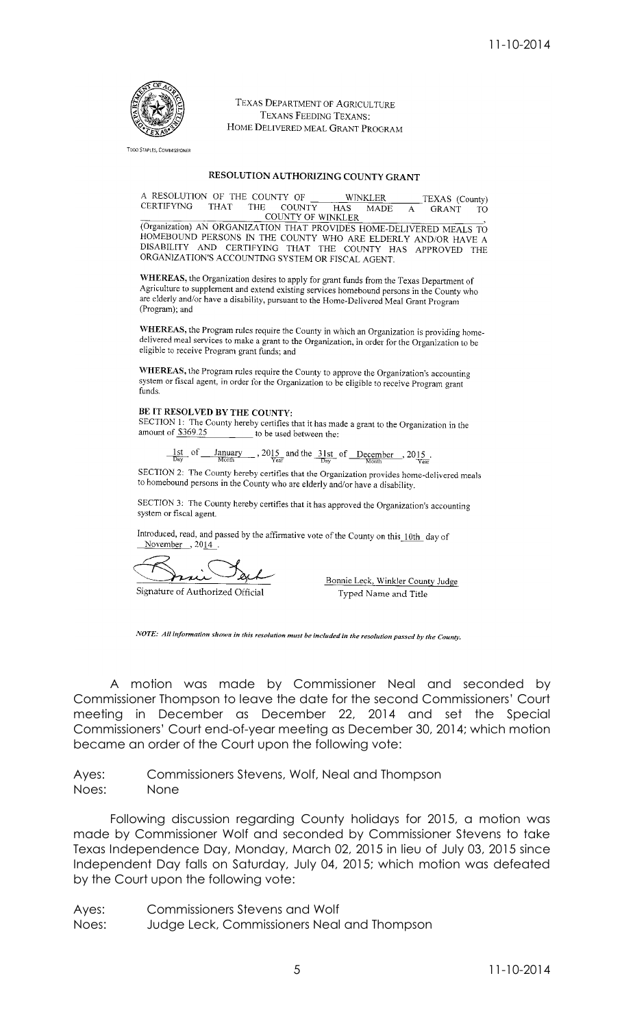

TEXAS DEPARTMENT OF AGRICULTURE TEXANS FEEDING TEXANS: HOME DELIVERED MEAL GRANT PROGRAM

**TODO STAPLES, COMMISSIONER** 

### RESOLUTION AUTHORIZING COUNTY GRANT

| A RESOLUTION OF THE COUNTY OF |             |                    |            | <b>WINKLER</b> | TEXAS (County) |    |
|-------------------------------|-------------|--------------------|------------|----------------|----------------|----|
| CERTIFYING                    | <b>THAT</b> | THE COUNTY         | <b>HAS</b> | MADE           | - GR ANT       | TO |
|                               |             | COLINTY OF WINKLER |            |                |                |    |

(Organization) AN ORGANIZATION THAT PROVIDES HOME-DELIVERED MEALS TO (Organization) AN ORGANIZATION THAT PROVIDES HOME-DELIVERED MEALS TO HOMEBOUND PERSONS IN THE COUNTY WHO ARE ELDERLY AND/OR HAVE A DISABILITY AND CERTIFYING THAT THE COUNTY HAS APPROVED THE ORGANIZATION'S ACCOUNTING SYSTEM

WHEREAS, the Organization desires to apply for grant funds from the Texas Department of Agriculture to supplement and extend existing services homebound persons in the County who represented to deplement and extend existing services nonneolidate persons in the County<br>are clderly and/or have a disability, pursuant to the Home-Delivered Meal Grant Program (Program); and

WHEREAS, the Program rules require the County in which an Organization is providing homedelivered meal services to make a grant to the Organization, in order for the Organization to be<br>delivered meal services to make a grant to the Organization, in order for the Organization to be eligible to receive Program grant funds; and

WHEREAS, the Program rules require the County to approve the Organization's accounting system or fiscal agent, in order for the Organization to be eligible to receive Program grant funds.

### BE IT RESOLVED BY THE COUNTY:

SECTION 1: The County hereby certifies that it has made a grant to the Organization in the amount of \$369.25 to be used between the:

 $\frac{1st}{\text{Day}}$  of  $\frac{January}{\text{Month}}$  $\frac{1}{\sqrt{2}}$ , 2015 and the  $\frac{31st}{\sqrt{2}}$  of <u>December</u>, 2015

SECTION 2: The County hereby certifies that the Organization provides home-delivered meals to homebound persons in the County who are elderly and/or have a disability.

SECTION 3: The County hereby certifies that it has approved the Organization's accounting system or fiscal agent.

Introduced, read, and passed by the affirmative vote of the County on this 10th day of November  $, 2014$ .

Signature of Authorized Official

Bonnie Leck, Winkler County Judge Typed Name and Title

NOTE: All information shown in this resolution must be included in the resolution passed by the County.

A motion was made by Commissioner Neal and seconded by Commissioner Thompson to leave the date for the second Commissioners' Court meeting in December as December 22, 2014 and set the Special Commissioners' Court end-of-year meeting as December 30, 2014; which motion became an order of the Court upon the following vote:

Ayes: Commissioners Stevens, Wolf, Neal and Thompson Noes: None

Following discussion regarding County holidays for 2015, a motion was made by Commissioner Wolf and seconded by Commissioner Stevens to take Texas Independence Day, Monday, March 02, 2015 in lieu of July 03, 2015 since Independent Day falls on Saturday, July 04, 2015; which motion was defeated by the Court upon the following vote:

Ayes: Commissioners Stevens and Wolf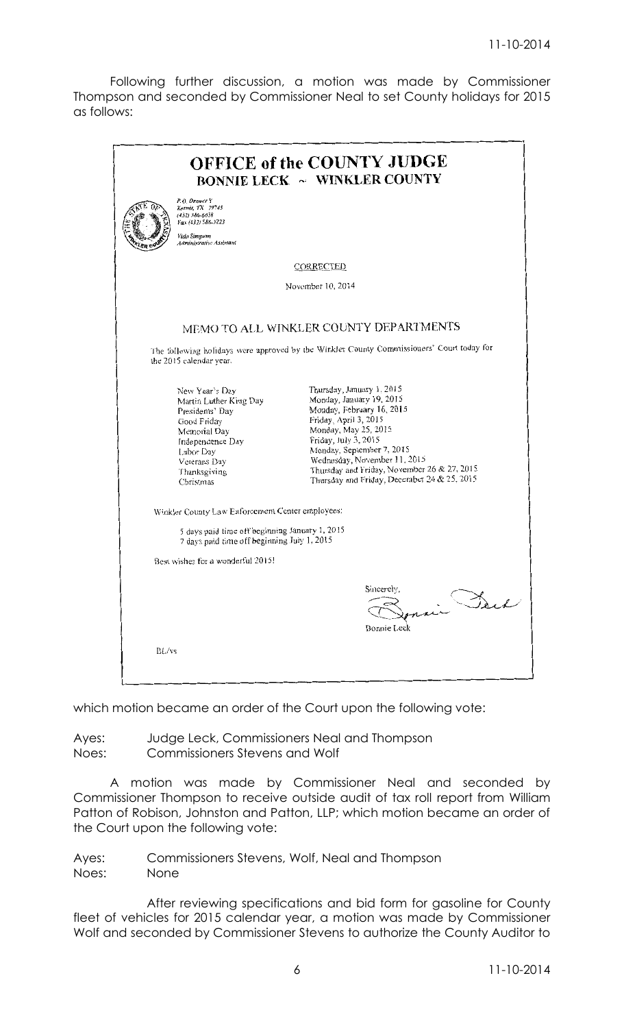Following further discussion, a motion was made by Commissioner Thompson and seconded by Commissioner Neal to set County holidays for 2015 as follows:

|                                                                                                                                                                          | <b>OFFICE of the COUNTY JUDGE</b><br><b>BONNIE LECK ~ WINKLER COUNTY</b>                                                                                                                                                                                                                                               |
|--------------------------------------------------------------------------------------------------------------------------------------------------------------------------|------------------------------------------------------------------------------------------------------------------------------------------------------------------------------------------------------------------------------------------------------------------------------------------------------------------------|
| P.O. Drawer Y<br>Kermit, TX 79745<br>$(432)$ 586-6658<br>Fax (432) 586-3223<br>Vida Simpson<br>Administrative Assistant                                                  |                                                                                                                                                                                                                                                                                                                        |
|                                                                                                                                                                          | CORRECTED                                                                                                                                                                                                                                                                                                              |
|                                                                                                                                                                          | November 10, 2014                                                                                                                                                                                                                                                                                                      |
|                                                                                                                                                                          | MEMO TO ALL WINKLER COUNTY DEPARTMENTS                                                                                                                                                                                                                                                                                 |
| the 2015 calendar year.                                                                                                                                                  | The following holidays were approved by the Winkler County Commissioners' Court today for                                                                                                                                                                                                                              |
| New Year's Day<br>Martin Luther King Day<br>Presidents' Day<br>Good Friday<br>Memorial Day<br>Independence Day<br>Labor Day<br>Veterans Day<br>Thanksgiving<br>Christmas | Thursday, January 1, 2015<br>Monday, January 19, 2015<br>Monday, February 16, 2015<br>Friday, April 3, 2015<br>Monday, May 25, 2015<br>Friday, July 3, 2015<br>Monday, September 7, 2015<br>Wednesday, November 11, 2015<br>Thursday and Friday, November 26 & 27, 2015<br>Thursday and Friday, December 24 & 25, 2015 |
| Winkler County Law Enforcement Center employees:                                                                                                                         |                                                                                                                                                                                                                                                                                                                        |
| 5 days paid time off beginning January 1, 2015<br>7 days paid time off beginning July 1, 2015                                                                            |                                                                                                                                                                                                                                                                                                                        |
| Best wishes for a wonderful 2015!                                                                                                                                        |                                                                                                                                                                                                                                                                                                                        |
|                                                                                                                                                                          | Sincerely,<br>Bonnie Leck                                                                                                                                                                                                                                                                                              |
| BL/vs                                                                                                                                                                    |                                                                                                                                                                                                                                                                                                                        |

which motion became an order of the Court upon the following vote:

Ayes: Judge Leck, Commissioners Neal and Thompson Noes: Commissioners Stevens and Wolf

A motion was made by Commissioner Neal and seconded by Commissioner Thompson to receive outside audit of tax roll report from William Patton of Robison, Johnston and Patton, LLP; which motion became an order of the Court upon the following vote:

Ayes: Commissioners Stevens, Wolf, Neal and Thompson Noes: None

After reviewing specifications and bid form for gasoline for County fleet of vehicles for 2015 calendar year, a motion was made by Commissioner Wolf and seconded by Commissioner Stevens to authorize the County Auditor to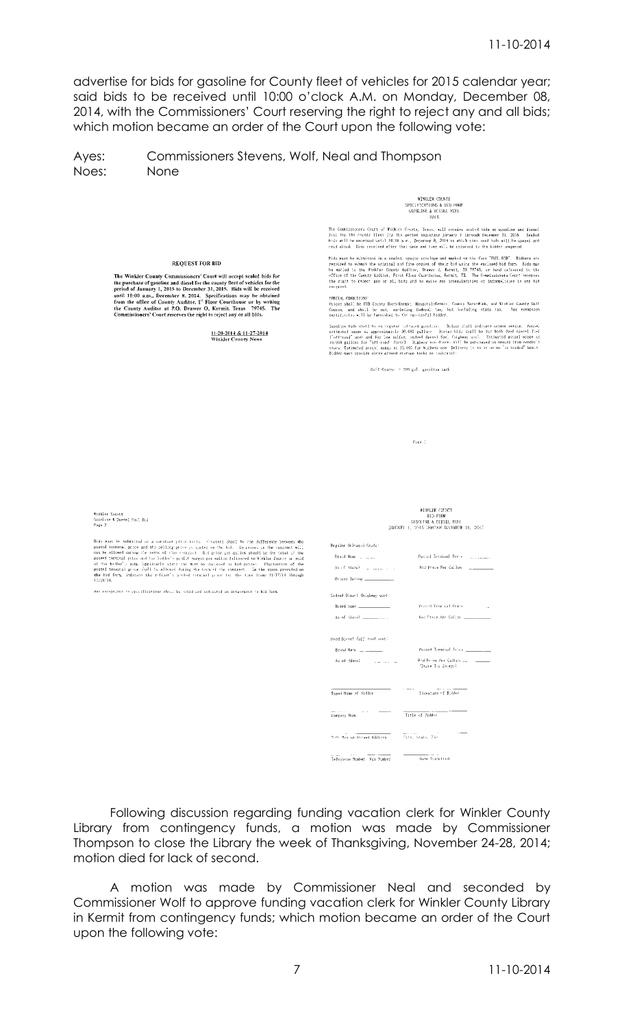advertise for bids for gasoline for County fleet of vehicles for 2015 calendar year; said bids to be received until 10:00 o'clock A.M. on Monday, December 08, 2014, with the Commissioners' Court reserving the right to reject any and all bids; which motion became an order of the Court upon the following vote:

Ayes: Commissioners Stevens, Wolf, Neal and Thompson Noes: None

 $\begin{array}{ll} \textbf{WINULER COUNTY} \\ \textbf{SPECFICATIONS & BID FORM} \\ \textbf{GASOLINE & DIESL. FCEL} \\ \textbf{QASOLINE} & 2015 \end{array}$ 

The Commissioners Court of Winklet County, Texas, will reseive scaled bids an guasline und diesel<br>foci for the county fleet for the period baginning Jacapsy 1 through December 31, 2015. Sealed<br>Fock will be received until

read alocal. Bids received after that date and time will be returned to the bidder unoperad.<br>Rids must be echaitted in a scoled, opaque envelope and marked on the face "FMZL BID". Bidders are required to scheit the eviden

SPRCIAL COMDITIONS<br>Prices shell be PSB County Bara-Hormit, Hospital-Harmit, Caunty Saru-Wink, and Winklet Caunty Golf<br>Course, and shell be not, excluding (ederal tax, but including state tax, Tax exemption<br>certificatus wil

Sapplies bids abull be on regular tales<br>and gasoline. Bidser shall indicate cotame rating. Annual ostimated passe is approximated yields to the<br>continued used and for low suffer, and<br>set for the low behavior of the low su

Golf Course - 309 eal, easoliee tack

Page 1

Winkler County<br>Gasoline & Diesel Fool Bid<br>Page 2

Bishman te subsected on a constant prior incide. Constant he is definement obsects the posted tensors, price and the celling prior as usubset on the bill. In presess in the rosatest will not be allowed prince and the cell

**REQUEST FOR RID** 

The Winkler County Commissioners' Court will accept sealed bids for<br>the purchase of gasoline and diesel for the county fleet of vehicles for the<br>period of January 1, 2015 to December 31, 2015. Bids will be received<br>until 1

11-20-2014 & 11-27-2014<br>Winkler County News

Any exceptions to specifications shall be pated and indicated on attachment to bld form

|                              | WINKLER COUNTY<br><b>BID FORM</b><br>GASOLINE & DIESEL FUEL<br>TANCARY 3. 2015 LERCOGE DECEMBER 31, 2015 |
|------------------------------|----------------------------------------------------------------------------------------------------------|
| Regular Unleadad Grade:      |                                                                                                          |
| Read Name (College)          | Pusted Terminal Price (1999) Linear                                                                      |
| As of (date) [ [ [ [ ] ] ]   | Brd Price Per Gallon                                                                                     |
| Detame Raling _____________  |                                                                                                          |
| Undved Diesc! (highway use): |                                                                                                          |
| Biand Same ______________    | Posted Terminal Prime<br><b>COL</b>                                                                      |
| As of (date) __________      |                                                                                                          |
| (Gea, bonn llaf) forced boul |                                                                                                          |
|                              | Posted Terminal Frice _________                                                                          |
| As of (date) [ [ [ [ ] ] [ ] | "State Tox Eximpt)                                                                                       |
|                              |                                                                                                          |
| Typed Name of Sidder         |                                                                                                          |
| Company Name                 | Title of Bidder                                                                                          |
|                              |                                                                                                          |
| Telephone Number Fax Number  | <b>Bare Scopiffed</b>                                                                                    |

Following discussion regarding funding vacation clerk for Winkler County Library from contingency funds, a motion was made by Commissioner Thompson to close the Library the week of Thanksgiving, November 24-28, 2014; motion died for lack of second.

A motion was made by Commissioner Neal and seconded by Commissioner Wolf to approve funding vacation clerk for Winkler County Library in Kermit from contingency funds; which motion became an order of the Court upon the following vote: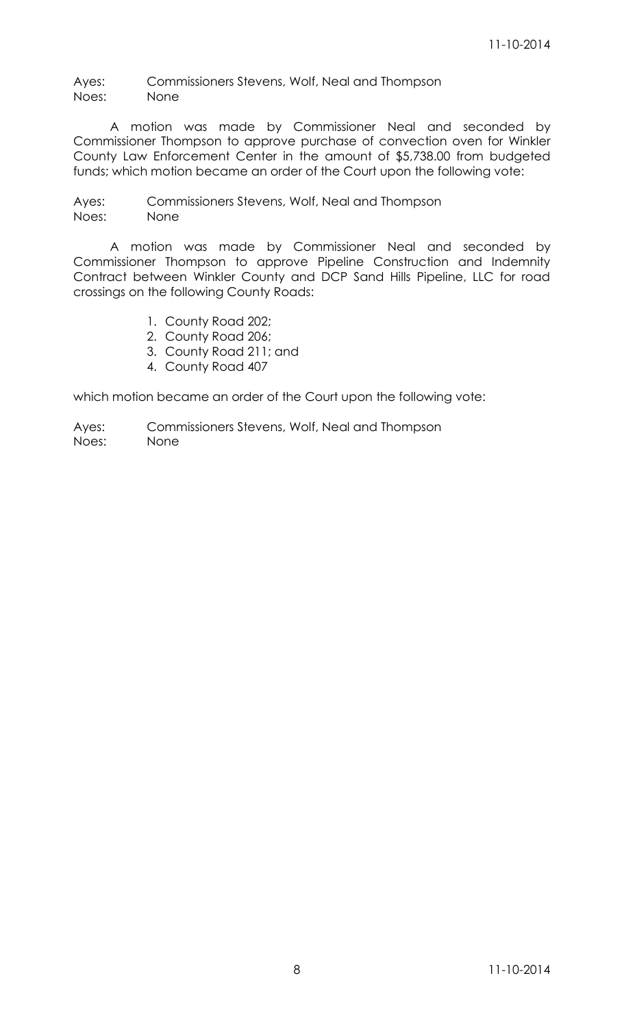Ayes: Commissioners Stevens, Wolf, Neal and Thompson Noes: None

A motion was made by Commissioner Neal and seconded by Commissioner Thompson to approve purchase of convection oven for Winkler County Law Enforcement Center in the amount of \$5,738.00 from budgeted funds; which motion became an order of the Court upon the following vote:

Ayes: Commissioners Stevens, Wolf, Neal and Thompson Noes: None

A motion was made by Commissioner Neal and seconded by Commissioner Thompson to approve Pipeline Construction and Indemnity Contract between Winkler County and DCP Sand Hills Pipeline, LLC for road crossings on the following County Roads:

- 1. County Road 202;
- 2. County Road 206;
- 3. County Road 211; and
- 4. County Road 407

which motion became an order of the Court upon the following vote:

Ayes: Commissioners Stevens, Wolf, Neal and Thompson

Noes: None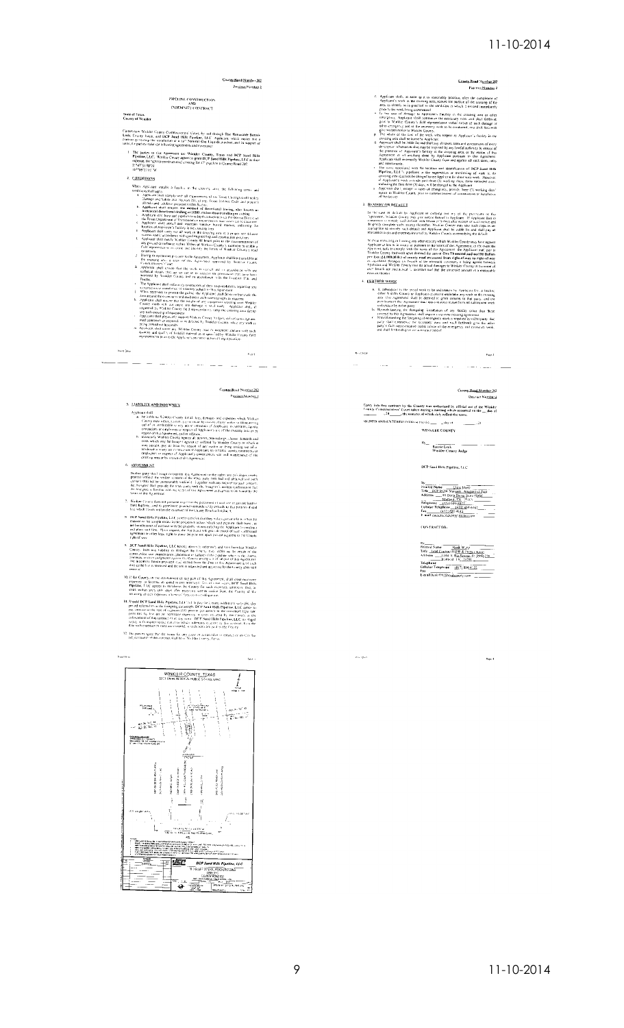# Coun<u>ty Ro</u>ad Number 202<br>Pre<u>sinct Number</u> 2 PIPELINE CONSTRUCTION<br>AND<br>INDEMNITY CONTRACT **State of Texas**<br>County of Winkler Cunes now Wallts County Commoveres): Loon, by not though The Hannable Bonain<br>Leek, County Judge, and DCP Seed Hilly Fordinan, LLC - Applicate, which mates they all<br>curricul protoing the modificion of a LP Statent Cast Lie The parties to this Agenement are Wielder County, Teast and IRCP Sand Hills Pipeline, LCC, Wardt County agrees to great DCP Sand Hills explored LTC and the experience of the Sand County agrees to great DCP Sand Hills Pipe  $l$ . CONDITIONS C<u>ONOFITONS</u><br>
COMPIONS (CONTINUES) 2 Earths in the transmitted at the filling results of the control of the control of the filling results of the filling results of the filling results of the control of the filling result A Applicant plug is even that may consider the responsibility of the state of the state of the state of the state of the state of the state of the state of the space of the state of the state of the state of the state of

كالمسامين المواركات المواردة والمرتبة التبا

### Conner Boad Number 202<br>Precinct Number 2

- 5. LIABILITY AND INDEWSITY
- Following the matrix of the same of the same of the same of the same of the same of the same of the same of the same of the same of the same of the same of the same of the same of the same of the same of the same of the s 6. ASSIGNMENT
- **Phone EMV** shall be<br>sign of that for the Auto-common of the tights are goingly appear to<br>the Polytoperal control of the restrict of the restrict of the standard<br>control of the compact of the common of the restrict of and
- Someon that spontants are presented to provid the parameter of dark and the measurement of the sphere, and the presented to provide the sphere of the sphere of the sphere of the sphere of the sphere of the sphere of the s
- The William Hills Pierdine, L.L.C. fierces expression condemnity and state interview of the Context Interview of the Context Context Context Context Context Context Context Context Context Context Context Context Context C
- (f. Be Courty, in the entimativent of any part of this Agreement) shall near matchine<br>expectes on forcino, and good to pay interactive for our count outs, DIC Sand Hitle<br>Pipelline, This appear in terminour, the County for
- the matrix of the state Hills Pipelines (2.4) when the control in the state of the state Hills Pipelines (2.4) with the pay disc temps within the state of the properties of the matrix of the state of the state of the stat
- 12. The pain os agree that the venue for any deave of action filled by entative or involve the subject motive the

.<br>Roc B is



### County Road Number 207<br>Previous Number 2

- E. Applicant stock as a set is successfully practice. The<br>mean (Namilar) Republicant's work in the crosses are it is inserted<br>by practice in the conduction of the properties of the conduction of<br> $\mathcal{P}$  and the conductio
- 
- -
- 

#### 3. REMEDY ON DEFACT T

 $\kappa_{\rm eff}$  is the  $\kappa$ 

- When the core of definitions Applicant in company on my of the processors of the line core of definitions Applicant in company of the processors defined in the specific core of the specific core of the core of the core of
- Probable costs and experiments incurred by Winder County in terms from gas distance.<br>We these recordings of the manneaver of the Winder County that the space of the space<br>Applement of the county of the space of the space
- $\pm$  **ELBTHER WORK** 
	-
	-
	-
	- **ADMINE THE CONSULTANT CONSULTER CONSULTS AND ASSESS TO A REPORT OF A REPORT OF A REPORT OF A REPORT OF A REPORT OF A REPORT OF A REPORT OF A REPORT OF A REPORT OF A REPORT OF A REPORT OF A REPORT OF A REPORT OF A REPORT**

<u>المستحدد المتحدة المستحد</u>ة المحمدة المسا

### Coursey Road Number 202<br>Precinct Number 2

 $P_{\text{max}}$  2

NGNED AND ENTERED INTO 10 the Ge  $\frac{1}{\sqrt{2}}$  day of  $\frac{1}{\sqrt{2}}$   $\frac{1}{4}$  day of  $\frac{1}{4}$  .  $\frac{1}{4}$  with LER COUNTY

 $\stackrel{\rm{B}_3}{=} \frac{\frac{1}{\rm{Boinric~Leck}} - \frac{1}{\rm{Boinric~Leck}}}{\rm{Win\,ker~Country~Judge}}$ 

DCP Said Bills Pipeline, T.L.C.

 $\begin{array}{|l|l|} \hline \textbf{R} & \textbf{R} & \textbf{R} & \textbf{R} \\ \hline \textbf{F} & \textbf{R} & \textbf{R} & \textbf{R} \\ \hline \textbf{F} & \textbf{R} & \textbf{R} & \textbf{R} \\ \hline \textbf{R} & \textbf{R} & \textbf{R} & \textbf{R} \\ \hline \textbf{R} & \textbf{R} & \textbf{R} & \textbf{R} \\ \hline \textbf{R} & \textbf{R} & \textbf{R} & \textbf{R} \\ \hline \textbf{R} & \textbf{R} & \textbf{R}$ 

**CONFRACTOR:** 

By Principles Same ( $\frac{1600 \text{ V} \cdot \text{F}}{1600 \text{ V} \cdot \text{m}^2}$ )<br>
Principles ( $\frac{1600 \text{ V} \cdot \text{m}^2}{1600 \text{ V} \cdot \text{m}^2}$ )<br>
And the state ( $\frac{1600 \text{ V} \cdot \text{m}^2}{1600 \text{ V} \cdot \text{m}^2}$ )<br>  $\frac{1600 \text{ V} \cdot \text{m}^2}{1600 \text{ V} \cdot \text{m$ 

 $\hat{\theta}_{\rm CMB}$  and  $\hat{\theta}_{\rm CMB}$ 

.<br>Ngjarje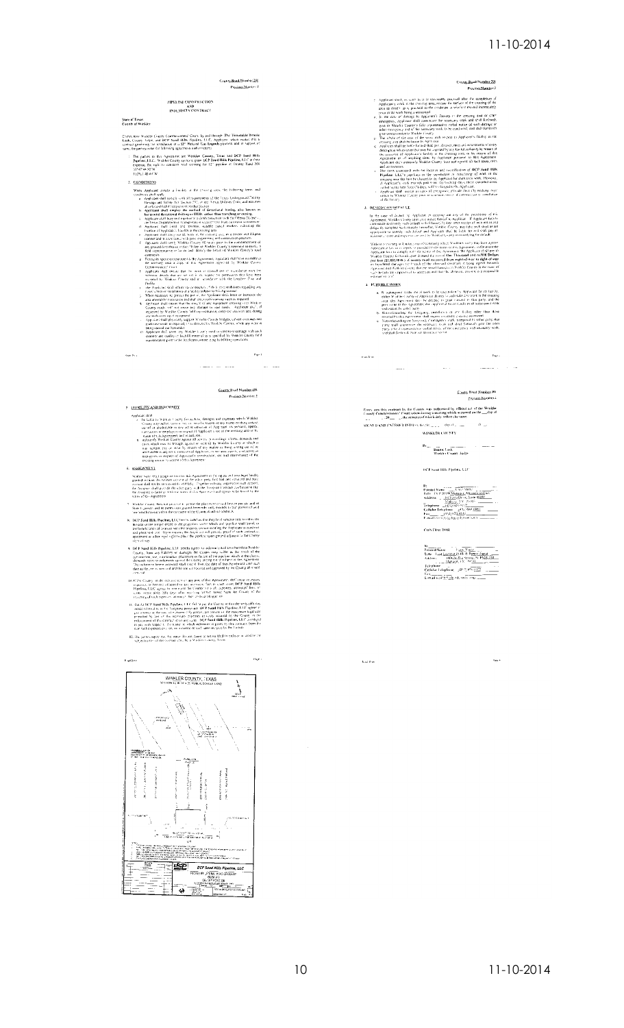

 $\label{eq:20} \begin{minipage}[t]{0.9\textwidth} \begin{tabular}{p{0.85\textwidth}} \hline \textbf{X} & \textbf{X} & \textbf{X} & \textbf{X} & \textbf{X} & \textbf{X} & \textbf{X} & \textbf{X} & \textbf{X} & \textbf{X} & \textbf{X} & \textbf{X} & \textbf{X} & \textbf{X} \\ \hline \textbf{X} & \textbf{X} & \textbf{X} & \textbf{X} & \textbf{X} & \textbf{X} & \textbf{X} & \textbf{X} & \textbf{X} & \textbf{X} & \textbf{X}$ 

san for a

- remis of was agreement.<br>Whaller County, Bose not program to permit the placement of suid-line on projets and or<br>State Lignway, and its permission granted betermine unty extends to buy passent of said.<br>The which travels wit
- K. DCP Sand Hills Papeline, LCC here we conclus that they less shown<br>that the initial of the stress of the transportation some studied by the<br>place and a property that the property spectra stress of the transportation of<br>
- $\mathbf{r}(t)$ 1 st was Hill Papeline, LLC sends agree to informer, and are humbles Wiskler (Controlled Table 2004) and the controlled Table 2004 (Controlled Table 2004) and the controlled Table 2004 (Controlled Table 2004) an
- cross of the context of the method of the symmetry and a symmetry when the context of the context of the context of the context of the context of the context of the context of the context of the context of the context of
- 
- The factors agree that the series for any cases of action filed in enforce in latitize the subject material filing correct cyntate in Winkies County, Texas



 $\begin{tabular}{|c|c|c|c|} \hline B1 & $B_{11}$ & $C_{11}$ & $C_{11}$ & $C_{12}$ & $C_{12}$ & $C_{13}$ & $C_{14}$ & $C_{15}$ & $C_{16}$ & $C_{16}$ & $C_{16}$ & $C_{16}$ & $C_{16}$ & $C_{16}$ & $C_{16}$ & $C_{16}$ & $C_{16}$ & $C_{16}$ & $C_{16}$ & $C_{16}$ & $C_{16}$ & $C_{16}$ & $C_{16}$ & $C_{16}$ & $C_{16}$ & $C_{16}$ & $C_{16}$ & $C_{16}$ & $C$ **CONTRACTOR** 

 $\tau_{\rm age}$  .

**Kachin**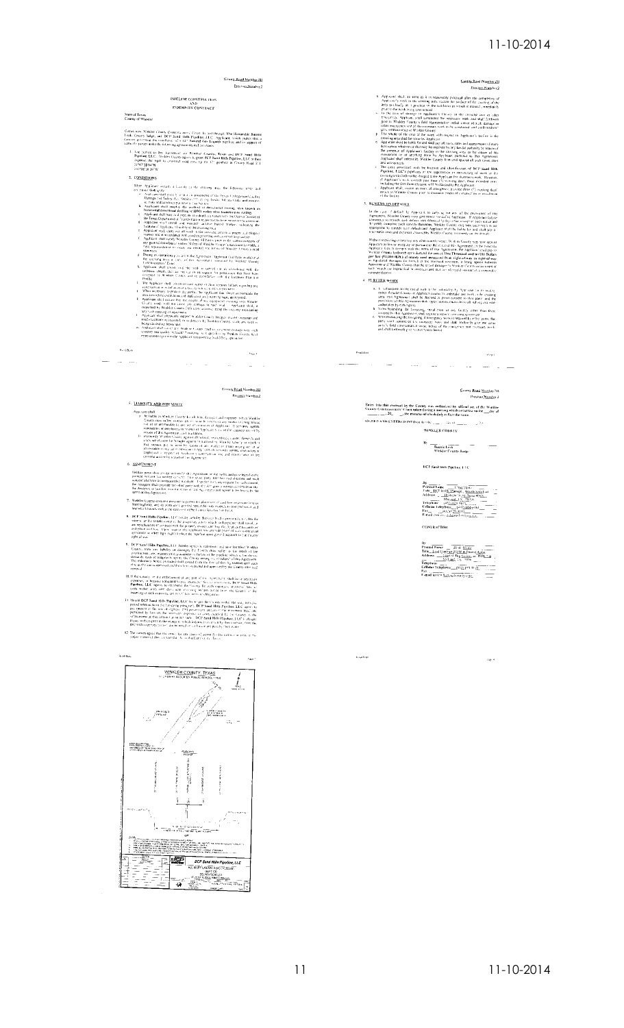### $11 - 10 - 2014$

Caunty Road Nounter 211

Precinci Number 2



(ATTER WATER) (and the state of the state of the matrices by the state of the state of the state of the state of the state of the state of the state of the state of the state of the state of the state of the state of the  $\langle \theta, \eta \rangle$ المار المناسب المدرسة المناسبة المساريخ المناسبة المناسبة المناسبة المناسبة المناسبة المناسبة المناسبة المناسبة

### County Road Number 211<br>Previous Number 2

 $S16.8ED \text{ AND ENTERED INTO on the one.}$ as se $\underline{\dots} \dots \xrightarrow{\sim} \mathbb{R}^{N}$ WINKLER COUNTY

DCP Said Hills Pipeline, LTC

By<br>
Franck Kamer — Head Watter — Head Contract Kayse & Person Aggest<br>
Address — Mart Mark & Person Aggest<br>
Address — Mark Mark & Standard By Head<br>
Contract Persons — Mark & Person Aggest<br>
Contract Persons — Mark & Person<br>

**CONTRACTOR** 

.<br>Kapi fup

 $\mu_{\rm H}$  a

WINKLER COUNTY, TEXAS  $\overline{1}$ usiation<br>Virginia  $\label{eq:1} \frac{\rho_{\rm FWHM}}{\rho_{\rm FWHM}}$ a.  $\frac{1}{2} \int_{0}^{2} d\mathbf{x} \, d\mathbf{x}$ umana para masihiri<br>Sourand Britain Paris Inc. 2<br>Sourand Britain Paris Inc. 2<br>Sourand Britain Paris 2 tanne, hos antican<br>Prima (2008)<br>Prima (2008)<br>Prima (6007) www. **Venoted effectives**  $\frac{1}{2}$ Ť.  $\frac{1}{\sqrt{1-\frac{1}{\sqrt{2}}\frac{1}{\sqrt{2}}\log\frac{1}{\sqrt{2}}\log\frac{1}{\sqrt{2}}\log\frac{1}{\sqrt{2}}\log\frac{1}{\sqrt{2}}\log\frac{1}{\sqrt{2}}\log\frac{1}{\sqrt{2}}}}}{\log\frac{1}{\sqrt{2}}\log\frac{1}{\sqrt{2}}\log\frac{1}{\sqrt{2}}\log\frac{1}{\sqrt{2}}\log\frac{1}{\sqrt{2}}\log\frac{1}{\sqrt{2}}\log\frac{1}{\sqrt{2}}\log\frac{1}{\sqrt{2}}\log\frac{1}{\sqrt{2}}\log\frac{1}{\sqrt$ . Hy 

mps as well filter hypothers. Let the<br>theory are the contractions and the contraction of the contraction<br>contraction of the contraction of the contraction of the contraction<br>contraction and the contraction of the contracti

**REPAIR**<br>
IT CONSIDER CONTINUES INTO THE CONSIDERATION IN EVALUATION CONTINUES.<br>
IT CONSIDERS THE CONSIDER THE CONSIDER CONSIDER A REPAIR OF A CONSIDER THE CONSIDERATION INTO THE CONSIDER CONSIDER THE CONSIDER THE CONSIDE

12. The correst agree that the vesses, for any converted action fried to collect or in we as the collection of this contract shall be a whatter shall be a fixed on the collection of the collection of the collection of the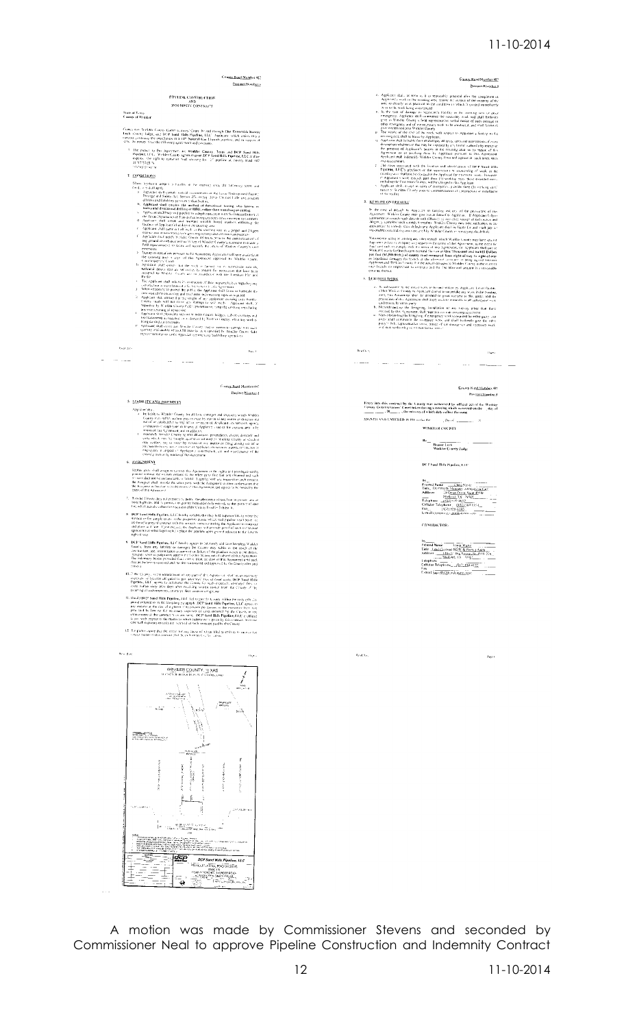### 11-10-2014



A motion was made by Commissioner Stevens and seconded by Commissioner Neal to approve Pipeline Construction and Indemnity Contract

产业 ł. Ł.

 $\begin{split} \mathcal{L}_{\text{GUT}} &= \frac{\Phi^2}{2} \frac{\Phi^2}{\Phi^2} \frac{\partial^2}{\partial \Phi^2} \frac{\partial^2}{\partial \Phi^2} \frac{\partial^2}{\partial \Phi^2} \frac{\partial^2}{\partial \Phi^2} \frac{\partial^2}{\partial \Phi^2} \frac{\partial^2}{\partial \Phi^2} \frac{\partial^2}{\partial \Phi^2} \frac{\partial^2}{\partial \Phi^2} \frac{\partial^2}{\partial \Phi^2} \frac{\partial^2}{\partial \Phi^2} \frac{\partial^2}{\partial \Phi^2} \frac{\partial^2}{\partial \Phi^2} \frac{\partial^2}{\partial \Phi^2$  $\frac{\partial \mathbf{u}}{\partial \mathbf{v}}$  and the state of the state of the state of the state of the state of the state of the state of the state of the state of the state of the state of the state of the state of the state of the state of t

ŀ.

ente<br>Frederic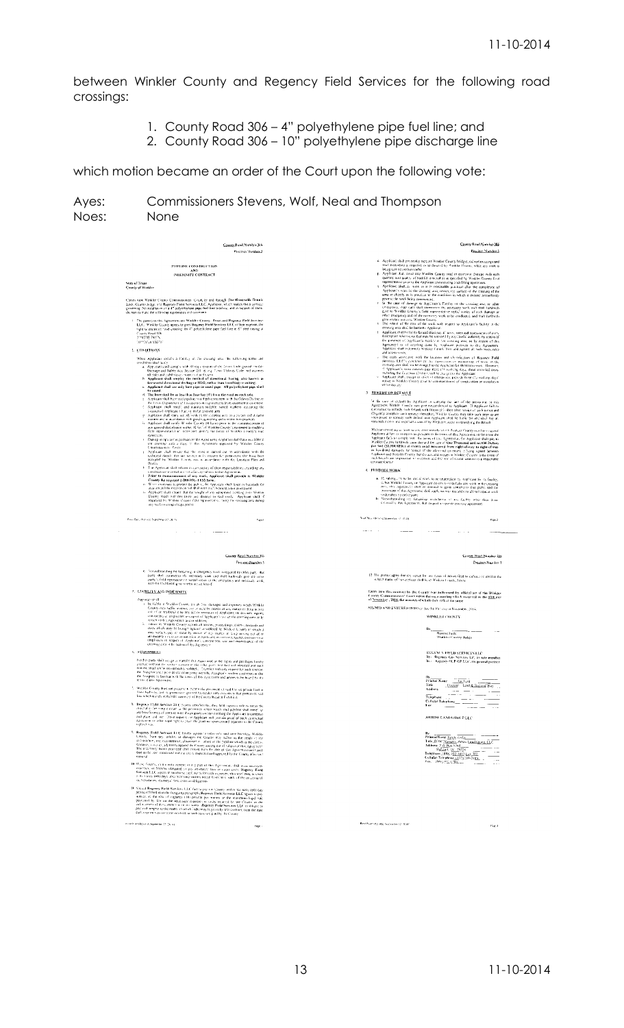between Winkler County and Regency Field Services for the following road crossings:

- 1. County Road 306 4" polyethylene pipe fuel line; and
- 2. County Road 306 10" polyethylene pipe discharge line

which motion became an order of the Court upon the following vote:

| Presince Number 3                                                                                                                                                                                                                                                                                                                                                                                                                                                        | County Road Number 306<br>Precinct Number 3                                                                                                                                                                                                                                                                                                                                                                              |
|--------------------------------------------------------------------------------------------------------------------------------------------------------------------------------------------------------------------------------------------------------------------------------------------------------------------------------------------------------------------------------------------------------------------------------------------------------------------------|--------------------------------------------------------------------------------------------------------------------------------------------------------------------------------------------------------------------------------------------------------------------------------------------------------------------------------------------------------------------------------------------------------------------------|
|                                                                                                                                                                                                                                                                                                                                                                                                                                                                          | 6. Applicant shall presidatly support Winkler County bridges, calvert existings and<br>mail casements in required, or as derived by Winkler County, while any work is                                                                                                                                                                                                                                                    |
| PIPELINE CONSTRUCTION<br>AND.                                                                                                                                                                                                                                                                                                                                                                                                                                            | being carried out here miler.                                                                                                                                                                                                                                                                                                                                                                                            |
| <b>INDENSITY CONTRACT</b>                                                                                                                                                                                                                                                                                                                                                                                                                                                | F. Applicant Aul, cover any Winkler County toud or extrement domage with such<br>quantity and quality of backful remarcal as is specified by Winkler County field                                                                                                                                                                                                                                                        |
| Mate of Texas<br><b>County of Wunkler</b>                                                                                                                                                                                                                                                                                                                                                                                                                                | representative prior to the Applicant commenting look filling operations.<br>Applicant shall, as mon-as-it is reasonably practical after the completion of<br>Applicant's work in the covising and, restore the surface of the crossing of the<br>area at closely as is prectical to the condition in which it existed intoordistely                                                                                     |
| Conces now Wankler County Commissioners. Court, by and through The Honorable Bonnie<br>Leck, County Judge, and Regency Field Services LLC, Applicant, which makes this a contract<br>povering the installation of a 4" polyethylene pipe fuel line pipeline, and in support of state.                                                                                                                                                                                    | prior to the work being commerced.<br>be the case of duninge to Applicant's Facility in the crossing area or other                                                                                                                                                                                                                                                                                                       |
| the part of make the reflowing agreements and coverants<br>The parties to this Agreement are Winkler County. Texas and Regeavy Field Services                                                                                                                                                                                                                                                                                                                            | en-espendis, App cart shall onemerica the necessary work and shall forthwish give to Winkler County's field representative virtual visities of such diamage or<br>other emergency and of the nemocity work to be conducted, and shall forthwide<br>give written nuclears. Winkler County                                                                                                                                 |
| ELC. Winkler County agrees to grint Begeney Field Services LLC of their expense, the<br>right to construct road crossing for 4" polyethylene pape forf line in 6" steel caung at                                                                                                                                                                                                                                                                                         | The whole of the cost of the work with respect to Applicant's facility in the<br>×.<br>crossing area shall be borne to Applicant                                                                                                                                                                                                                                                                                         |
| County Read 306<br>31943148-7961%                                                                                                                                                                                                                                                                                                                                                                                                                                        | Applicant shall be liable for and shall pay all taxes, rates and assessments of every<br>I.<br>description whatsoever that may be amended by any lawful authority by reason of<br>the parsence of Applicant's further in the crossing away or by reason of this                                                                                                                                                          |
| 10 PDF20 556°W<br>2. CONDITIONS                                                                                                                                                                                                                                                                                                                                                                                                                                          | Agreement or of anything done by Applicant porsulate to this Agreement<br>Applicant shall in Jernari, Widsier County from and against all such takes, rates                                                                                                                                                                                                                                                              |
| When Applicant installs a l'acility in the crossing area, the following terms and                                                                                                                                                                                                                                                                                                                                                                                        | and ossessments,<br>The costs associated with the location and identification of Regency Field<br>Services LLC's preclime or the supercoson of memoring of work in the                                                                                                                                                                                                                                                   |
| conditions shall acids<br>a. Applicant staff comply with all requirements of the Grand Linde ground insidity<br>Damage and Safety Act, Section 231, et ing. Cosas Utilities Code, and assumes                                                                                                                                                                                                                                                                            | co-stung uses shall not be charged to the Applicant for short too uwork. However,<br>"! Applicant's work extends past three (5) working days, these extended prots.                                                                                                                                                                                                                                                      |
| all fisht and cabilities protozoch nationals.<br>Applicant shall employ the method of directional boring, also known as<br>h.                                                                                                                                                                                                                                                                                                                                            | including the fast three (3) days, will be grasted in the Applicant.<br>Applicant shall, except in cases of emergency, provide three (3) working days!<br>million to Winkler County pour to commencement of construction or sostallation.                                                                                                                                                                                |
| berreastal directional drilling or HDD, rather than treaching or cutting.<br>c. Applicant shall use only bure pipe or cased pipe. All pulsethylene pipe shall<br>he cased.                                                                                                                                                                                                                                                                                               | of the faculty                                                                                                                                                                                                                                                                                                                                                                                                           |
| d. The hore shall be un less than four feet $(\mathbf{t}^i)$ from the road on each side.<br>2. Applicant shall been raid pipchic to a depth consistent with the Cdestia Districting                                                                                                                                                                                                                                                                                      | 3 REMEDY ON DEFAULT                                                                                                                                                                                                                                                                                                                                                                                                      |
| the Texas Department of Transportation requirements from ensement to easement<br>Applicant shall install and maintain suitable somed markers including the location of Applicant Chaeling in the anisometries                                                                                                                                                                                                                                                            | in the case of collault by Applicant in comping our aim of the provisions or mis-<br>Agreement, Winkle, County, any give notice division to Applicant. If Applicant failure.<br>Continence to remedy right deligate with litterary (15) does after receipt of such notice and<br>diligently complete some remedy thereaft                                                                                                |
| g. Applation shall carry out all work in the coasting area in a preper and diligent<br>in innium and in accordance with guid equivering and construction practices.<br>In Applicant shall notify W selectCounty 48 bond prior to the commencement of                                                                                                                                                                                                                     | oppropriate to remedy such default and Applicant shall be liable for and shall may all                                                                                                                                                                                                                                                                                                                                   |
| any ground distarbance within 30 feet of Winkler County's easement to enable a<br>field representative to neare and identity the frents of Winkler County's mad-                                                                                                                                                                                                                                                                                                         | reasonable costs, me experiant usamed by Werkser County in remedying the detail<br>Walsout restricting or laristing any clear remedy which Winkler County may have against                                                                                                                                                                                                                                               |
| casements.<br>During as operations parsuant to the Agree Bent, Applicant shall have available at                                                                                                                                                                                                                                                                                                                                                                         | Applicant at law in in equity or present to the terms of this Agreement, in the event the<br>Applicant fails to comply with the terms of this Agreement, the Applicant shall pay to<br>Winkler Causey forthwith upon derrund the sam of One Thousand and norton Dottars                                                                                                                                                  |
| are crossing area a copy of this Aproximate approved by Walkler County County<br>Applicant chall enoure that the work is carried out in accordance with the                                                                                                                                                                                                                                                                                                              | White sometimes profits on the state of the affected frequency contains the state of the property and the state of the affected frequency of the state of the affected containing and the state of the state of the affected c                                                                                                                                                                                           |
| technical details that air set not in its request for permissions that have been accepted by Winkler County and in accordance with the Location Plan and                                                                                                                                                                                                                                                                                                                 | such breach are impractical to ascertion and they the aforesaid amount is a reasonable<br>corporate Cressor                                                                                                                                                                                                                                                                                                              |
| F. The Applicant shall inform its contractors of their responsibilities coparding any<br>construction or installator of a factory subject to this Agreement.                                                                                                                                                                                                                                                                                                             | <b>C. FURTHER WORK</b>                                                                                                                                                                                                                                                                                                                                                                                                   |
| 1. Prior to commencement of any work, Applicant shall provide to Winkler<br>County the required 1-800-DIG-1ESS form.<br>When reservoirs to protect the public, the reproduct shall leade in barricade the                                                                                                                                                                                                                                                                | a. 15 subsequent to the initial work to be setuentiken by Applicant for its facility,<br>deber Winkler Granty or Applicant devices to sindertake any work in the crossing                                                                                                                                                                                                                                                |
| area amunil the excavation and shall erect such warning lining as required.<br>6. Applicant shall existed that the weight of any equipment crossing over Woman                                                                                                                                                                                                                                                                                                           | arric, this Agreement shall be deemed to grant conseta to that party, and the<br>provisions of this Agreement shall apply accom- matandolity all subsequent with<br>indertaken by exfect party                                                                                                                                                                                                                           |
| County roads will not cause any damage to said roads. Applicant shall, if<br>requested by Winkler County Celd representative, camp the crossing area during<br>promotives by salvatorial and                                                                                                                                                                                                                                                                             | In Notworkstanding inc. foregoing installation of any factity other than those<br>colored by this Agreement, shall require a ceparate crossing agreement                                                                                                                                                                                                                                                                 |
| Basic Bars (free root Supremnation 2014).<br>Page 1                                                                                                                                                                                                                                                                                                                                                                                                                      | final Nice (Renning Scientist of 2014)<br>Page 2                                                                                                                                                                                                                                                                                                                                                                         |
|                                                                                                                                                                                                                                                                                                                                                                                                                                                                          | $\cdots$<br>$\overline{\phantom{a}}$                                                                                                                                                                                                                                                                                                                                                                                     |
| <b>County Read Number 306</b>                                                                                                                                                                                                                                                                                                                                                                                                                                            |                                                                                                                                                                                                                                                                                                                                                                                                                          |
| Presinct Namlies 3                                                                                                                                                                                                                                                                                                                                                                                                                                                       | County Road Number 105<br>Precinct Number 1                                                                                                                                                                                                                                                                                                                                                                              |
| e. Not substanding the foregoing, it imergency would researced by virtue party that party about consinered the interesting work and shall continually give use other<br>party's field representative verbal observes the cerengency and receivaly work,<br>and shall highwith give worknown hereof.                                                                                                                                                                      | schreet matter of this contract shall be at Winker County, Texas                                                                                                                                                                                                                                                                                                                                                         |
| 5. LIABILITY AND INDEMNITY                                                                                                                                                                                                                                                                                                                                                                                                                                               |                                                                                                                                                                                                                                                                                                                                                                                                                          |
| Applicate of all<br>to be field a Wigkler County for all bus stainages and expenses which Winkler                                                                                                                                                                                                                                                                                                                                                                        | of November , 2014, the minutes of which daly reflect the same                                                                                                                                                                                                                                                                                                                                                           |
| County may suffer sexting, say or more by resson of any matter or thing around county may suffer sexting, say or more research of Applicant, its servants agents,<br>someterious se un pluyers in capitel of Applicant's use of the crossing aim or by                                                                                                                                                                                                                   | SIGNED AND ENTERED INTO or day by the cay of November, 2014.<br>WINKLER CHENTY                                                                                                                                                                                                                                                                                                                                           |
| resset of this Agreement, and in addition,<br>3. Indentify Winkler County against all actions, proceedings, claims, opinions and                                                                                                                                                                                                                                                                                                                                         | B <sub>2</sub>                                                                                                                                                                                                                                                                                                                                                                                                           |
| cover which may be brought against or suffered by Wirk or County or which in<br>1985, surface, pay on mean by remove of any matter or ding was no and of or minimum surface, pay on mean by remove of any matter or ding was no a<br>employees in respect of Applicant's construction, use and impropriance of the                                                                                                                                                       | <b>Bonnie Lack</b><br>Winkler County Judge                                                                                                                                                                                                                                                                                                                                                                               |
| crossing area. « by rezoni of this Agreement<br>6. ASSIGNMENT                                                                                                                                                                                                                                                                                                                                                                                                            | REGENCY FIFLD SERVICES LLC                                                                                                                                                                                                                                                                                                                                                                                               |
|                                                                                                                                                                                                                                                                                                                                                                                                                                                                          |                                                                                                                                                                                                                                                                                                                                                                                                                          |
|                                                                                                                                                                                                                                                                                                                                                                                                                                                                          |                                                                                                                                                                                                                                                                                                                                                                                                                          |
| Notice party shall also gives transfer that Agree inside the rights and proving<br>to a strong of the state that sometime in the other party is all and obtained and was<br>the frequency of the state of the state of the state of<br>terms of this Apreement                                                                                                                                                                                                           | 12. The parties agree that gre-venue for any equipment attion filed to callume or involve the<br>Entry into this contract by the County was authorized by official act of the Winkler<br>ounty Commissioners' Court taken during a meeting which accurred on the 10th day<br>The Regency Gas Services LP, its submember<br>By: Regency Gas Services LP, its submember<br><b>Tax Ford</b><br><b>Printed Name</b><br>Title |
| Weekler County does not presume to permutike placement of said terribe provets land or<br>State highway, and its permission gentled hereunder only extends to that portion of said<br>land which is avelabeled                                                                                                                                                                                                                                                           | . Diesser Land & Rudson Way<br>Address                                                                                                                                                                                                                                                                                                                                                                                   |
| the comment of the County Road in Fighthical                                                                                                                                                                                                                                                                                                                                                                                                                             | Tricphone<br>$-$<br>Cellular Telephone<br>5.85                                                                                                                                                                                                                                                                                                                                                                           |
| 8. Regrass lifeld Services LLC hosety certalists this they held superior talk to ratter the<br>mocrat or fer some elevant in the prepender action watch and precline shall maye" un<br>are beneficiaries of contract with the groppity owners earlifting the Applicant to construct<br>and place and line. Using request, the Applicant will provide proof of such contractual<br>agreement of other tegal right to place the profiles upon cound adjacent to the County | <b>ARROW LAND GROUP LEC</b>                                                                                                                                                                                                                                                                                                                                                                                              |
| right of way                                                                                                                                                                                                                                                                                                                                                                                                                                                             | в.                                                                                                                                                                                                                                                                                                                                                                                                                       |
| 9. Rigency Field Services LLC hereby agrees to interimity and save harmless Winkler<br>from any subdits or danages the County may suffer as the result of the<br>coletration, too, maintenance, placement of latine of the pipeline which is the claims,                                                                                                                                                                                                                 | Printed Name Emply Gody<br>Litle ROW Manager, Arrow Land Group, LLC                                                                                                                                                                                                                                                                                                                                                      |
| domands, come dr., adjusted's against the County arising out of collect of this Agreement<br>The indemnity herein provided that instead tions the date of this Agreement until such                                                                                                                                                                                                                                                                                      |                                                                                                                                                                                                                                                                                                                                                                                                                          |
| date as the line, is removed and the vite is inspected and approved by the County after suit                                                                                                                                                                                                                                                                                                                                                                             | 1 ate, g ON (A <u>rticus)</u><br>Address 2, 2016<br>Magnatic 12, 2025<br>Address 188, 2025<br>Telephane (388, 2 <u>02.1819 <sub>120</sub>1.2025</u> )<br>Telephane (388, 2 <u>02.1819 1<sub>20</sub>1.2025)</u><br>Constraint Telephane (483) 210-21 <u>112</u>                                                                                                                                                          |
| 10 If the County, in the entire certent of may put of this Agreement, shall occurrence<br>straight or become obligated to prigothermys' lices or count users. Regency Field<br>Services LLC agrees to teaching the County for such expenses, moviness' rees, or court<br>with a sexty reflictings after receiving written notice from the county of the incurring of                                                                                                     | Fax: (88) 45-138<br>$\sim$ $  \sim$                                                                                                                                                                                                                                                                                                                                                                                      |
| such expenses, alwaneys' fees, costs or neligibilities.<br>11 Situad Regenry Field Services LLC full ta pay too County within the airty (60) day                                                                                                                                                                                                                                                                                                                         |                                                                                                                                                                                                                                                                                                                                                                                                                          |
| period inferred to in the foregoing paragraph. Regency Field Services LLC agrees to pay<br>within all the rate of righteen (18) prices per summ or the maximum legal face<br>paintified by law on the necessary expenses in struts incurred by the County in the<br>millet emert of the contract or entires some. Regency Field Services LLC is obtained to<br>pay with respect to the matter this high and last analy is given by this confract. Irom the date          |                                                                                                                                                                                                                                                                                                                                                                                                                          |
| gall, expenses on costs are incared, or such standard paid by the County<br>er of ther (Resolut September 27, 26, 4).                                                                                                                                                                                                                                                                                                                                                    | Rend from required hopested 12, 2014                                                                                                                                                                                                                                                                                                                                                                                     |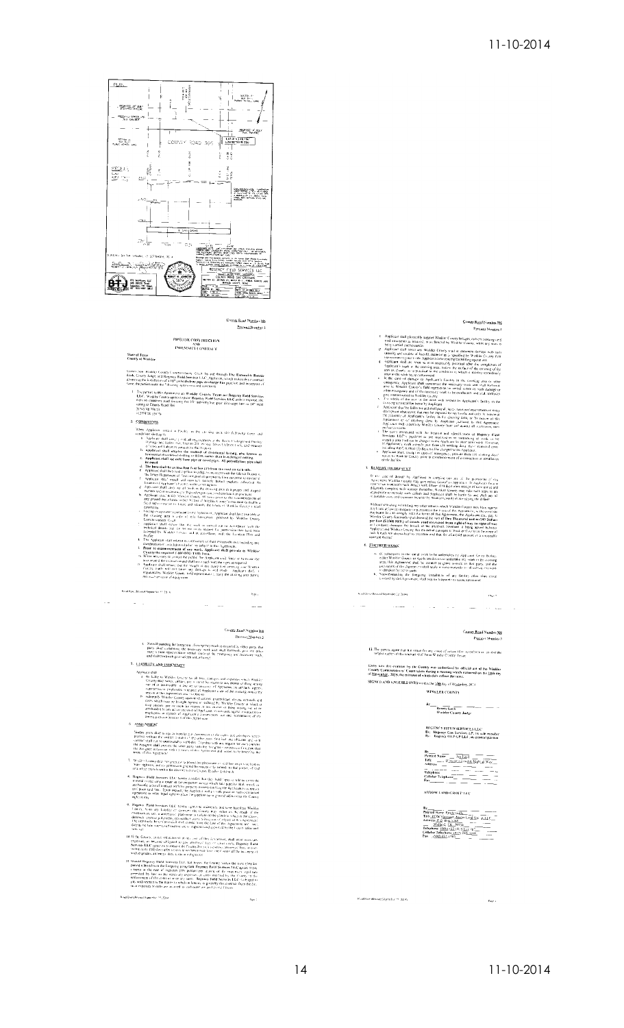

County Road Number 886<br>President Number 3

## PIPELISE CONSTRUCTION<br>AND<br>INDEMNITY CONTRACT

State of Texas<br>County of Winkler

Comes pow. Washier Country Contentionalisms. Court by and through The Hammelike Boassie<br>Leek, Country Lights and Respons Field Services Late?, Speciester, worth makes their anomatics<br>givening the installation of a 10° priv

Live prints to this Appennion are Womble County, Texas and Regiony Find Services<br>The content county appreciate to prace Regime Predi Services (LCC) at their regions<br>that so county the county of the state of the service of

2. CONDITIONS

- 
- 
- 
- 
- 
- 
- 
- 
- 
- 
- Continuously<br>as a fixed of the curve and absorption of the continuously comes and<br> $\langle$  Continuously comes and absorption in the curve and absorption of the<br>state of the continuous comes and the curve of the state of the c
	-

#### $\omega_{\rm{max}}$  $\omega_{\rm{max}}$  $\sim$

### Con<u>nty Road Number 306</u><br>Precinct Number 3

e. Notwithstanding the toregoing, if overgency work is required by elthiop play, that is compared by the play of the party of the play of the play of the state and the mechanism of the mechanism of the state and the state 5. LIABILITY AND INDEMATY

Read Hart (Revised September 11, 29, 11

 $\ddot{\phantom{0}}$ 

- $\label{eq:20} \begin{split} &\textbf{A}_{\text{P}}[\textbf{a}_{\text{M}}(\textbf{a}_{\text{M}}),\textbf{b}_{\text{M}}(\textbf{a}_{\text{M}}),\textbf{b}_{\text{M}}(\textbf{a}_{\text{M}}))\\ &\textbf{A}_{\text{P}}[\textbf{b}_{\text{M}}(\textbf{a}_{\text{M}}),\textbf{b}_{\text{M}}(\textbf{a}_{\text{M}}),\textbf{b}_{\text{M}}(\textbf{a}_{\text{M}}),\textbf{b}_{\text{M}}(\textbf{a}_{\text{M}}),\textbf{b}_{\text{M}}(\textbf{a}_{\text{M$
- 

**ASSICNMENT** 

-<br>Rinad Dret (Revised Supporter 11, 1014)

- Neither each shall be again to<br>order the Averagean of the spin- and depends a monotonic control of<br>the spin- and shall be a spin-order of the value pairs. Such that the<br> $\alpha$  shall be a strong shall controlled by and<br>the s
- 
- **STRELL US Algorithm (ACCORD ACCORD ACCORD ACCORD ACCORD ACCORD ACCORD ACCORD ACCORD ACCORD ACCORD ACCORD ACCORD ACCORD ACCORD ACCORD ACCORD ACCORD ACCORD ACCORD ACCORD ACCORD ACCORD ACCORD ACCORD ACCORD ACCORD ACCORD ACC**
- *Paper* (a) Ried Services C.LC Extels προστ και επίσκεψα του που και το κατά το προστ του προστ του προστ του προστ του προστ του προστ του προστ του προστ του προστ του προστ του προστ του προστ του προστ του προστ το
- If the County, in the onlinearist of any limit of the Activities), shall organize a company<br>experies, as income obligated to pair unlessing they are county of the figures. Find<br>Seconds LLC series in resultance of County fo
- Should Regional Pield Services LLC, and to put the Chooty volume the start (50) and performance that the properties of the company and the company of the company of the company of the company of the company of the company

# County Road Number 390

- 
- 
- 
- 
- 
- C. Applicant shall physically support Washer County in the gas founty of the same of the same of the same of the same of the same of the same of the same of the same of the same of the same of the same of the same of the

#### 3. REMEDY ON DEFACT T

For example, the properties of the complete set on  $\mathcal{L}_1$  is provided as the complete set of strongly and the complete set of the properties of the complete set of strongly and the complete set of the complete set of t

- <sup>or Dauburt Cout, and carpeter may be the projection of Architecture of the definition of the definition of the state of the state of the state of Architecture of the state of Architecture of the state of Architecture of </sup>
- **C. EURTHER WORK**
- 

 $\theta$  outfloor (Revert September 2014).

 $\tau=1.01$ 

- $K$  (f. 1986)<br>space to the cartal ordel to be anderstated by Applicant for at Dollay, either Moleke Couper, or Applicant distinct considerations, wonders because the coupling of<br>22. In Appropriate that the constant in gra
- Kind Birds Revised September (2, 2014)

 $\label{eq:3} \mathcal{L}^{\mathcal{A}}(\mathcal{A}^{\mathcal{A}}) = \mathcal{L}^{\mathcal{A}}(\mathcal{A}^{\mathcal{A}}) = \mathcal{L}^{\mathcal{A}}(\mathcal{A}^{\mathcal{A}})$  $\sim$  100  $\sim$  100  $\mu$  m.

### Caunty Road Number 306<br>Precinci Number 3

 $\alpha_{\rm 20}$  s

 $\mathbb{Z}_2$ 

12. The parties agree that the venue for any couse of action film to enforce or involve the<br>subject coater of this engineer shall be in Winder County, Levan

Entry into this contract by the County was authorized by official act of the Winkler<br>County Commissioners' Count taken during a meeting which occurred on the limb day<br>of <u>Noveralise</u>, 2014, the minutes of which duly cellec SIGNED AND ENTERED INTO or this the thin day of Neamber, 2014.

#### WINKLER COUNTY

 $By$  $\begin{tabular}{l} \hline\hline\mbox{Romic Lex} & \text{---} & \text{---} & \text{---} \\ \hline \text{Wukler Cauchy } \text{Jauge} & \text{---} & \text{---} & \text{---} \end{tabular}$ 

### REGENCY FIELD SERVICES LLC<br>Bs: Regency Gas Services LP, its sule moulier<br>Bs: Regency OLP GP LLC, its guaeral pattner

ARROW LAND GROUP F.LC.

By Prince News Fronte to the  $\frac{1}{2} \frac{1}{2} \left( \frac{1}{2} \right) \left( \frac{1}{2} \right) \left( \frac{1}{2} \right) \left( \frac{1}{2} \right) \left( \frac{1}{2} \right) \left( \frac{1}{2} \right) \left( \frac{1}{2} \right) \left( \frac{1}{2} \right) \left( \frac{1}{2} \right) \left( \frac{1}{2} \right) \left( \frac{1}{2} \right) \left( \frac{1}{2} \right) \left( \frac{1}{2} \right) \left( \frac{1}{$ 

 $\rho_{\rm{acc}}$  :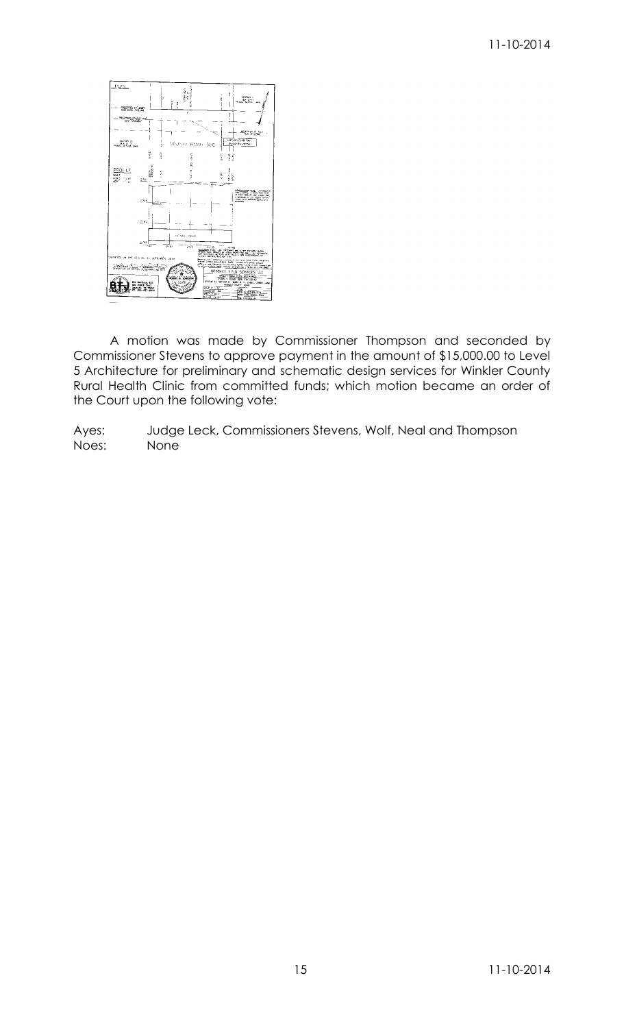### 11-10-2014



A motion was made by Commissioner Thompson and seconded by Commissioner Stevens to approve payment in the amount of \$15,000.00 to Level 5 Architecture for preliminary and schematic design services for Winkler County Rural Health Clinic from committed funds; which motion became an order of the Court upon the following vote: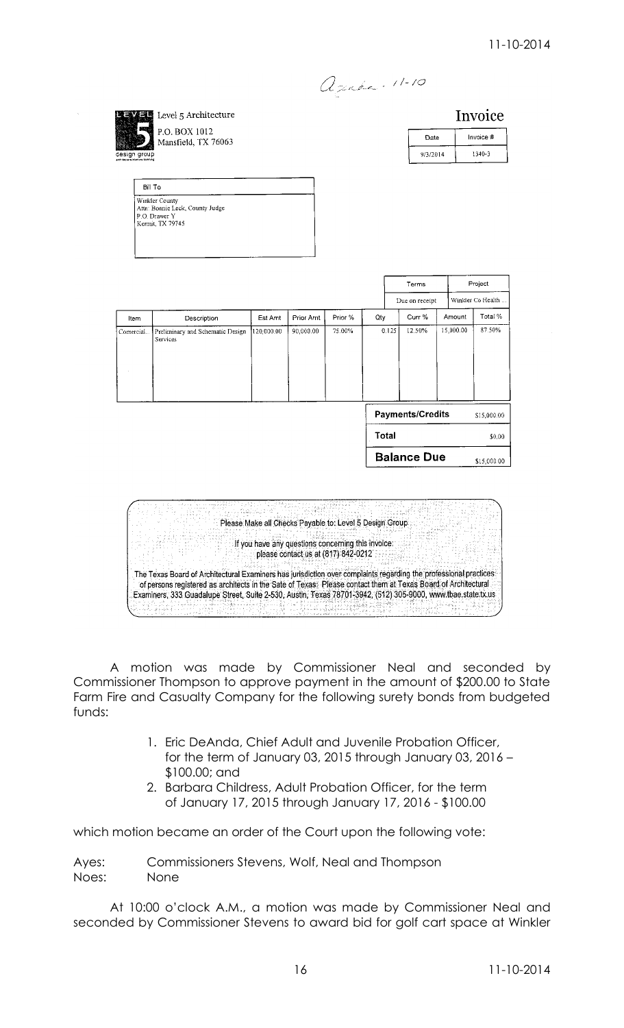apaka - 11-10

Invoice Level 5 Architecture P.O. BOX 1012 Invoice # Date Mansfield, TX 76063  $9/3/2014$ 1340-3 Bill To Winkler County<br>Attn: Bonnie Leck, County Judge<br>P.O. Drawer Y<br>Kemit, TX 79745 Terms Project Winkler Co Health Due on receipt Total % Curr % ltem Description Est Amt Prior Amt Prior % Otv Amount 15.000.00 87.50% 90.000.00 12.50% Comercial Preliminary and Schematic Design 120 000 00 75.00%  $0.125$ **Payments/Credits** \$15,000.00 Total  $$0.00$ **Balance Due** \$15,000.00 지급품 Please Make all Checks Payable to: Level 5 Design Group If you have any questions concerning this involce: please contact us at (817) 842-0212 The Texas Board of Architectural Examiners has jurisdiction over complaints regarding the professional practices of persons registered as architects in the Sate of Texas: Please contact them at Texas Board of Architectural

A motion was made by Commissioner Neal and seconded by Commissioner Thompson to approve payment in the amount of \$200.00 to State Farm Fire and Casualty Company for the following surety bonds from budgeted funds:

Examiners, 333 Guadalupe Street, Suite 2-530, Austin, Texas 78701-3942, (512) 305-9000, www.tbae.state.tx.us 

23435

- 1. Eric DeAnda, Chief Adult and Juvenile Probation Officer, for the term of January 03, 2015 through January 03, 2016 – \$100.00; and
- 2. Barbara Childress, Adult Probation Officer, for the term of January 17, 2015 through January 17, 2016 - \$100.00

which motion became an order of the Court upon the following vote:

Ayes: Commissioners Stevens, Wolf, Neal and Thompson Noes: None

manakisin<br>Kabupatèn K

At 10:00 o'clock A.M., a motion was made by Commissioner Neal and seconded by Commissioner Stevens to award bid for golf cart space at Winkler

12 g a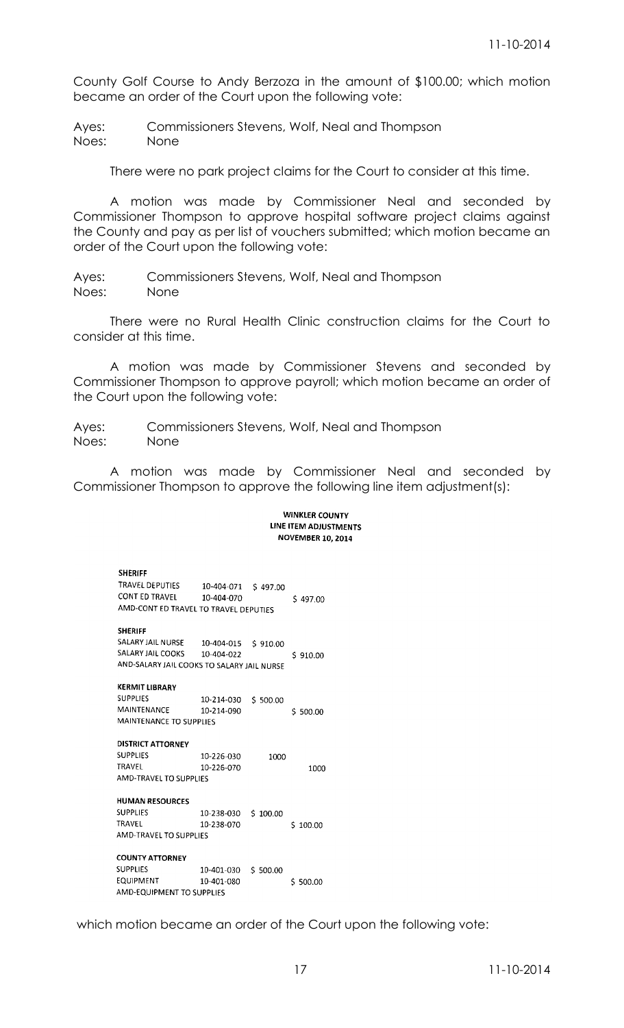County Golf Course to Andy Berzoza in the amount of \$100.00; which motion became an order of the Court upon the following vote:

Ayes: Commissioners Stevens, Wolf, Neal and Thompson Noes: None

There were no park project claims for the Court to consider at this time.

A motion was made by Commissioner Neal and seconded by Commissioner Thompson to approve hospital software project claims against the County and pay as per list of vouchers submitted; which motion became an order of the Court upon the following vote:

Ayes: Commissioners Stevens, Wolf, Neal and Thompson Noes: None

There were no Rural Health Clinic construction claims for the Court to consider at this time.

A motion was made by Commissioner Stevens and seconded by Commissioner Thompson to approve payroll; which motion became an order of the Court upon the following vote:

Ayes: Commissioners Stevens, Wolf, Neal and Thompson Noes: None

A motion was made by Commissioner Neal and seconded by Commissioner Thompson to approve the following line item adjustment(s):

### **WINKLER COUNTY** LINE ITEM ADJUSTMENTS **NOVEMBER 10, 2014**

| <b>SHERIFF</b>                             |                     |          |             |
|--------------------------------------------|---------------------|----------|-------------|
| TRAVEL DEPUTIES                            | 10-404-071 \$497.00 |          |             |
| CONT ED TRAVEL                             | 10-404-070          |          | \$497.00    |
| AMD-CONT ED TRAVEL TO TRAVEL DEPUTIES      |                     |          |             |
|                                            |                     |          |             |
| <b>SHERIFF</b>                             |                     |          |             |
| SALARY JAIL NURSE 10-404-015 \$ 910.00     |                     |          |             |
| SALARY JAIL COOKS                          | 10-404-022          |          | \$910.00    |
| AND-SALARY JAIL COOKS TO SALARY JAIL NURSE |                     |          |             |
|                                            |                     |          |             |
| <b>KERMIT LIBRARY</b>                      |                     |          |             |
| <b>SUPPLIES</b>                            | 10-214-030          | \$500.00 |             |
| MAINTENANCE                                | 10-214-090          |          | \$500.00    |
| MAINTENANCE TO SUPPLIES                    |                     |          |             |
|                                            |                     |          |             |
|                                            |                     |          |             |
| <b>DISTRICT ATTORNEY</b>                   |                     |          |             |
| <b>SUPPLIES</b>                            | 10-226-030          | 1000     |             |
| TRAVFL                                     | 10-226-070          |          | 1000        |
| AMD-TRAVEL TO SUPPLIFS                     |                     |          |             |
|                                            |                     |          |             |
| <b>HUMAN RESOURCES</b>                     |                     |          |             |
| <b>SUPPLIES</b>                            | 10-238-030          | \$100.00 |             |
| TRAVEL                                     | 10-238-070          |          | \$100.00    |
| <b>AMD-TRAVEL TO SUPPLIES</b>              |                     |          |             |
|                                            |                     |          |             |
| <b>COUNTY ATTORNEY</b>                     |                     |          |             |
| <b>SUPPLIES</b>                            | 10-401-030          | \$500.00 |             |
| EQUIPMENT                                  | 10-401-080          |          | Ś<br>500.00 |

which motion became an order of the Court upon the following vote: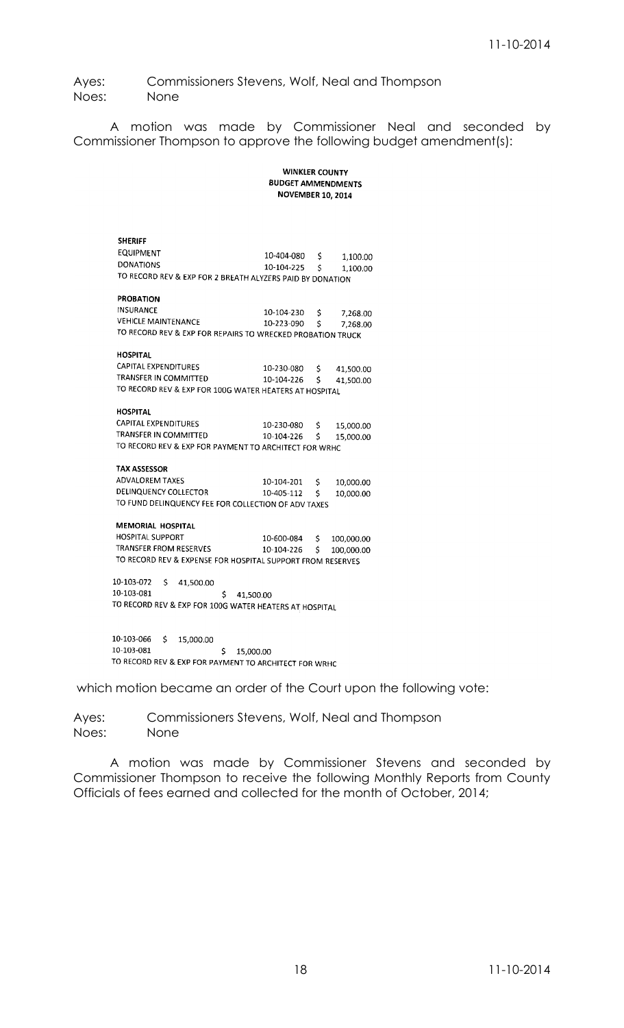Ayes: Commissioners Stevens, Wolf, Neal and Thompson Noes: None

A motion was made by Commissioner Neal and seconded by Commissioner Thompson to approve the following budget amendment(s):

> **WINKLER COUNTY BUDGET AMMENDMENTS NOVEMBER 10, 2014**

| <b>SHERIFF</b>                                             |                          |              |              |  |
|------------------------------------------------------------|--------------------------|--------------|--------------|--|
| <b>EQUIPMENT</b>                                           | 10-404-080 \$            |              | 1,100.00     |  |
| <b>DONATIONS</b>                                           | 10-104-225               | $\mathsf{S}$ | 1,100.00     |  |
| TO RECORD REV & EXP FOR 2 BREATH ALYZERS PAID BY DONATION  |                          |              |              |  |
|                                                            |                          |              |              |  |
| <b>PROBATION</b>                                           |                          |              |              |  |
| <b>INSURANCE</b>                                           | 10-104-230 \$            |              | 7,268.00     |  |
| VEHICLE MAINTENANCE                                        | 10-223-090 \$            |              | 7,268.00     |  |
| TO RECORD REV & EXP FOR REPAIRS TO WRECKED PROBATION TRUCK |                          |              |              |  |
|                                                            |                          |              |              |  |
| <b>HOSPITAL</b>                                            |                          |              |              |  |
| CAPITAL EXPENDITURES                                       | 10-230-080 \$ 41,500.00  |              |              |  |
| TRANSFER IN COMMITTED                                      | 10-104-226 \$ 41,500.00  |              |              |  |
| TO RECORD REV & EXP FOR 100G WATER HEATERS AT HOSPITAL     |                          |              |              |  |
|                                                            |                          |              |              |  |
| <b>HOSPITAL</b>                                            |                          |              |              |  |
| CAPITAL EXPENDITURES                                       | 10-230-080 \$            |              | 15,000.00    |  |
| TRANSFER IN COMMITTED                                      | $10-104-226$ \$          |              | 15,000.00    |  |
| TO RECORD REV & EXP FOR PAYMENT TO ARCHITECT FOR WRHC      |                          |              |              |  |
|                                                            |                          |              |              |  |
| <b>TAX ASSESSOR</b>                                        |                          |              |              |  |
| <b>ADVALOREM TAXES</b>                                     | 10-104-201               | S.           | 10,000.00    |  |
| DELINQUENCY COLLECTOR                                      | 10-405-112 \$            |              | 10,000.00    |  |
| TO FUND DELINQUENCY FEE FOR COLLECTION OF ADV TAXES        |                          |              |              |  |
|                                                            |                          |              |              |  |
| <b>MEMORIAL HOSPITAL</b>                                   |                          |              |              |  |
| <b>HOSPITAL SUPPORT</b>                                    | 10-600-084               |              | \$100,000.00 |  |
| TRANSFER FROM RESERVES                                     | 10-104-226 \$ 100,000.00 |              |              |  |
| TO RECORD REV & EXPENSE FOR HOSPITAL SUPPORT FROM RESERVES |                          |              |              |  |
|                                                            |                          |              |              |  |
| 10-103-072<br>$\mathsf{S}$<br>41,500.00                    |                          |              |              |  |
| 10-103-081<br>\$.                                          | 41,500.00                |              |              |  |
| TO RECORD REV & EXP FOR 100G WATER HEATERS AT HOSPITAL     |                          |              |              |  |
|                                                            |                          |              |              |  |
|                                                            |                          |              |              |  |
| 10-103-066 \$15,000.00                                     |                          |              |              |  |

 $$15,000.00$ <br> $$15,000.00$ <br> $$15,000.00$ 10-103-081 TO RECORD REV & EXP FOR PAYMENT TO ARCHITECT FOR WRHC

which motion became an order of the Court upon the following vote:

Ayes: Commissioners Stevens, Wolf, Neal and Thompson Noes: None

A motion was made by Commissioner Stevens and seconded by Commissioner Thompson to receive the following Monthly Reports from County Officials of fees earned and collected for the month of October, 2014;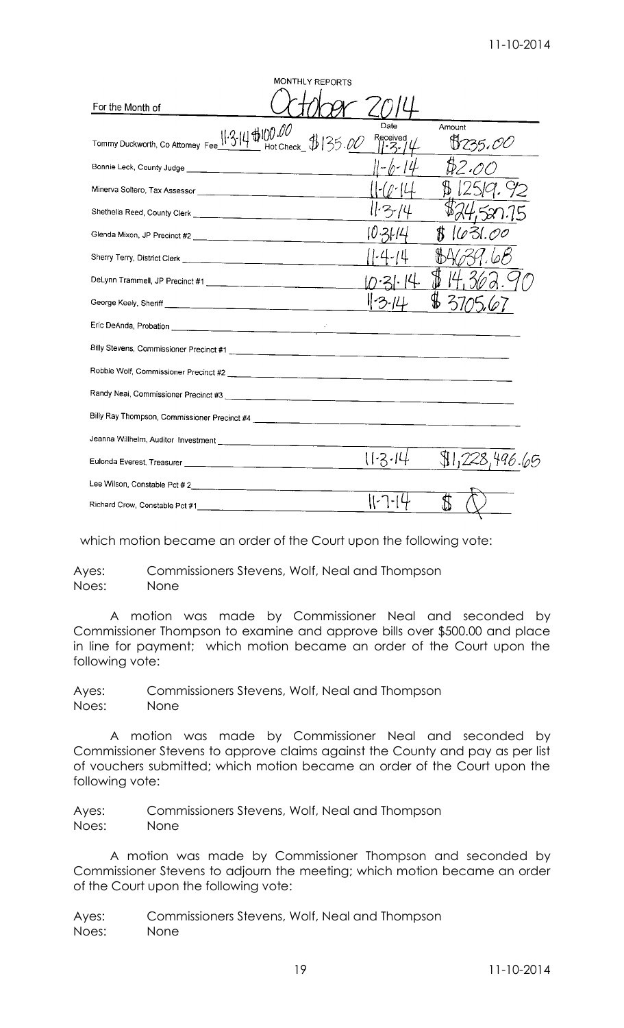| MONTHLY REPORTS                                                                        |                  |                   |
|----------------------------------------------------------------------------------------|------------------|-------------------|
| For the Month of                                                                       |                  |                   |
| Tommy Duckworth, Co Attorney Fee $\frac{11.3.14 \text{ fb}0.00}{1}$ Hot Check \$135.00 | Date<br>Received | Amount<br>8235.00 |
|                                                                                        | 11-b-14          | B2.0              |
|                                                                                        |                  |                   |
|                                                                                        | 11・3-74          |                   |
|                                                                                        |                  | 1631.00           |
|                                                                                        |                  |                   |
|                                                                                        |                  |                   |
|                                                                                        |                  |                   |
|                                                                                        |                  |                   |
|                                                                                        |                  |                   |
|                                                                                        |                  |                   |
|                                                                                        |                  |                   |
|                                                                                        |                  |                   |
|                                                                                        |                  |                   |
|                                                                                        | 11.3.14          | \$1,228,496.65    |
|                                                                                        |                  |                   |
|                                                                                        |                  |                   |

which motion became an order of the Court upon the following vote:

Ayes: Commissioners Stevens, Wolf, Neal and Thompson Noes: None

A motion was made by Commissioner Neal and seconded by Commissioner Thompson to examine and approve bills over \$500.00 and place in line for payment; which motion became an order of the Court upon the following vote:

Ayes: Commissioners Stevens, Wolf, Neal and Thompson Noes: None

A motion was made by Commissioner Neal and seconded by Commissioner Stevens to approve claims against the County and pay as per list of vouchers submitted; which motion became an order of the Court upon the following vote:

Ayes: Commissioners Stevens, Wolf, Neal and Thompson Noes: None

A motion was made by Commissioner Thompson and seconded by Commissioner Stevens to adjourn the meeting; which motion became an order of the Court upon the following vote: